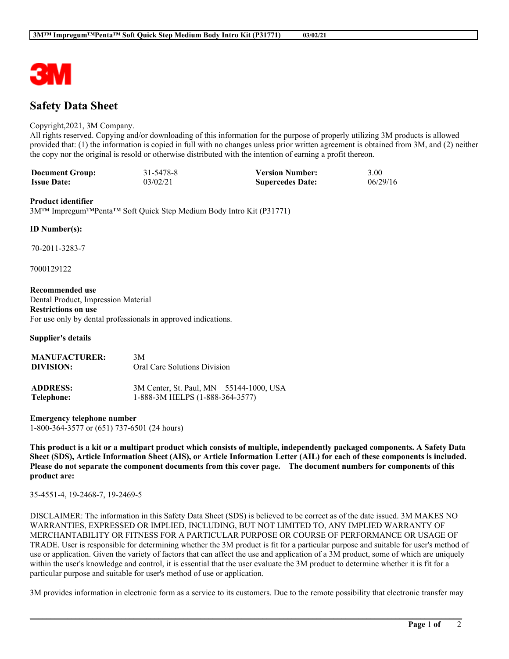

# **Safety Data Sheet**

### Copyright,2021, 3M Company.

All rights reserved. Copying and/or downloading of this information for the purpose of properly utilizing 3M products is allowed provided that: (1) the information is copied in full with no changes unless prior written agreement is obtained from 3M, and (2) neither the copy nor the original is resold or otherwise distributed with the intention of earning a profit thereon.

| <b>Document Group:</b> | 31-5478-8 | <b>Version Number:</b>  | 3.00     |
|------------------------|-----------|-------------------------|----------|
| <b>Issue Date:</b>     | 03/02/21  | <b>Supercedes Date:</b> | 06/29/16 |

#### **Product identifier**

3M™ Impregum™Penta™ Soft Quick Step Medium Body Intro Kit (P31771)

#### **ID Number(s):**

70-2011-3283-7

7000129122

#### **Recommended use**

Dental Product, Impression Material **Restrictions on use** For use only by dental professionals in approved indications.

**Supplier's details**

| <b>MANUFACTURER:</b><br>DIVISION: | 3M<br>Oral Care Solutions Division                                         |  |
|-----------------------------------|----------------------------------------------------------------------------|--|
| <b>ADDRESS:</b><br>Telephone:     | 3M Center, St. Paul, MN 55144-1000, USA<br>1-888-3M HELPS (1-888-364-3577) |  |

**Emergency telephone number** 1-800-364-3577 or (651) 737-6501 (24 hours)

This product is a kit or a multipart product which consists of multiple, independently packaged components. A Safety Data Sheet (SDS), Article Information Sheet (AIS), or Article Information Letter (AIL) for each of these components is included. Please do not separate the component documents from this cover page. The document numbers for components of this **product are:**

35-4551-4, 19-2468-7, 19-2469-5

DISCLAIMER: The information in this Safety Data Sheet (SDS) is believed to be correct as of the date issued. 3M MAKES NO WARRANTIES, EXPRESSED OR IMPLIED, INCLUDING, BUT NOT LIMITED TO, ANY IMPLIED WARRANTY OF MERCHANTABILITY OR FITNESS FOR A PARTICULAR PURPOSE OR COURSE OF PERFORMANCE OR USAGE OF TRADE. User is responsible for determining whether the 3M product is fit for a particular purpose and suitable for user's method of use or application. Given the variety of factors that can affect the use and application of a 3M product, some of which are uniquely within the user's knowledge and control, it is essential that the user evaluate the 3M product to determine whether it is fit for a particular purpose and suitable for user's method of use or application.

3M provides information in electronic form as a service to its customers. Due to the remote possibility that electronic transfer may

**\_\_\_\_\_\_\_\_\_\_\_\_\_\_\_\_\_\_\_\_\_\_\_\_\_\_\_\_\_\_\_\_\_\_\_\_\_\_\_\_\_\_\_\_\_\_\_\_\_\_\_\_\_\_\_\_\_\_\_\_\_\_\_\_\_\_\_\_\_\_\_\_\_\_\_\_\_\_\_\_\_\_\_\_\_\_\_\_\_\_\_\_\_\_\_\_\_\_\_\_\_\_\_\_**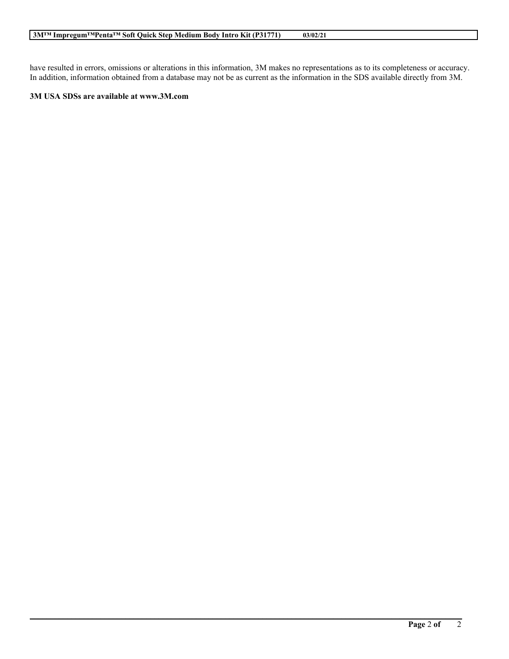have resulted in errors, omissions or alterations in this information, 3M makes no representations as to its completeness or accuracy. In addition, information obtained from a database may not be as current as the information in the SDS available directly from 3M.

**\_\_\_\_\_\_\_\_\_\_\_\_\_\_\_\_\_\_\_\_\_\_\_\_\_\_\_\_\_\_\_\_\_\_\_\_\_\_\_\_\_\_\_\_\_\_\_\_\_\_\_\_\_\_\_\_\_\_\_\_\_\_\_\_\_\_\_\_\_\_\_\_\_\_\_\_\_\_\_\_\_\_\_\_\_\_\_\_\_\_\_\_\_\_\_\_\_\_\_\_\_\_\_\_**

#### **3M USA SDSs are available at www.3M.com**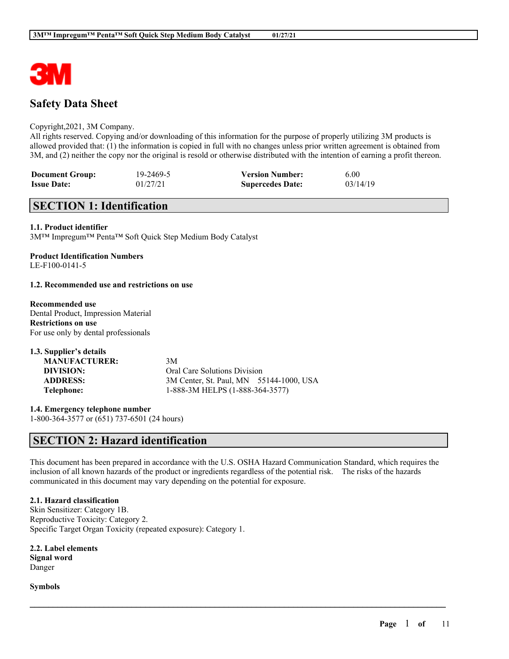

# **Safety Data Sheet**

### Copyright,2021, 3M Company.

All rights reserved. Copying and/or downloading of this information for the purpose of properly utilizing 3M products is allowed provided that: (1) the information is copied in full with no changes unless prior written agreement is obtained from 3M, and (2) neither the copy nor the original is resold or otherwise distributed with the intention of earning a profit thereon.

| <b>Document Group:</b> | 19-2469-5 | <b>Version Number:</b>  | 6.00     |
|------------------------|-----------|-------------------------|----------|
| <b>Issue Date:</b>     | 01/27/21  | <b>Supercedes Date:</b> | 03/14/19 |

# **SECTION 1: Identification**

#### **1.1. Product identifier**

3M™ Impregum™ Penta™ Soft Quick Step Medium Body Catalyst

#### **Product Identification Numbers** LE-F100-0141-5

#### **1.2. Recommended use and restrictions on use**

# **Recommended use**

Dental Product, Impression Material **Restrictions on use** For use only by dental professionals

| 1.3. Supplier's details |                                         |
|-------------------------|-----------------------------------------|
| <b>MANUFACTURER:</b>    | 3M                                      |
| DIVISION:               | Oral Care Solutions Division            |
| <b>ADDRESS:</b>         | 3M Center, St. Paul, MN 55144-1000, USA |
| Telephone:              | 1-888-3M HELPS (1-888-364-3577)         |

**1.4. Emergency telephone number** 1-800-364-3577 or (651) 737-6501 (24 hours)

# **SECTION 2: Hazard identification**

This document has been prepared in accordance with the U.S. OSHA Hazard Communication Standard, which requires the inclusion of all known hazards of the product or ingredients regardless of the potential risk. The risks of the hazards communicated in this document may vary depending on the potential for exposure.

 $\mathcal{L}_\mathcal{L} = \mathcal{L}_\mathcal{L} = \mathcal{L}_\mathcal{L} = \mathcal{L}_\mathcal{L} = \mathcal{L}_\mathcal{L} = \mathcal{L}_\mathcal{L} = \mathcal{L}_\mathcal{L} = \mathcal{L}_\mathcal{L} = \mathcal{L}_\mathcal{L} = \mathcal{L}_\mathcal{L} = \mathcal{L}_\mathcal{L} = \mathcal{L}_\mathcal{L} = \mathcal{L}_\mathcal{L} = \mathcal{L}_\mathcal{L} = \mathcal{L}_\mathcal{L} = \mathcal{L}_\mathcal{L} = \mathcal{L}_\mathcal{L}$ 

# **2.1. Hazard classification**

Skin Sensitizer: Category 1B. Reproductive Toxicity: Category 2. Specific Target Organ Toxicity (repeated exposure): Category 1.

**2.2. Label elements Signal word** Danger

**Symbols**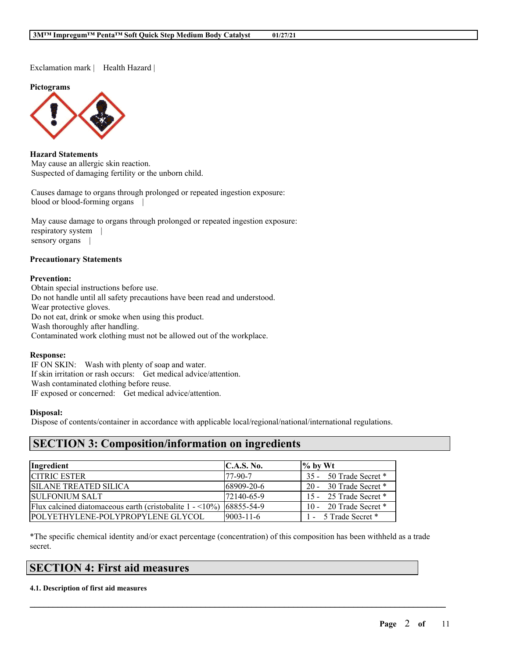Exclamation mark | Health Hazard |

**Pictograms**



**Hazard Statements** May cause an allergic skin reaction. Suspected of damaging fertility or the unborn child.

Causes damage to organs through prolonged or repeated ingestion exposure: blood or blood-forming organs |

May cause damage to organs through prolonged or repeated ingestion exposure: respiratory system | sensory organs |

#### **Precautionary Statements**

#### **Prevention:**

Obtain special instructions before use. Do not handle until all safety precautions have been read and understood. Wear protective gloves. Do not eat, drink or smoke when using this product. Wash thoroughly after handling. Contaminated work clothing must not be allowed out of the workplace.

#### **Response:**

IF ON SKIN: Wash with plenty of soap and water. If skin irritation or rash occurs: Get medical advice/attention. Wash contaminated clothing before reuse. IF exposed or concerned: Get medical advice/attention.

#### **Disposal:**

Dispose of contents/container in accordance with applicable local/regional/national/international regulations.

# **SECTION 3: Composition/information on ingredients**

| Ingredient                                                                           | C.A.S. No.        | $\%$ by Wt             |
|--------------------------------------------------------------------------------------|-------------------|------------------------|
| <b>CITRIC ESTER</b>                                                                  | 177-90-7          | 35 - 50 Trade Secret * |
| <b>SILANE TREATED SILICA</b>                                                         | 168909-20-6       | 20 - 30 Trade Secret * |
| <b>ISULFONIUM SALT</b>                                                               | 172140-65-9       | 15 - 25 Trade Secret * |
| Flux calcined diatomaceous earth (cristobalite $1 - \langle 10\% \rangle$ 68855-54-9 |                   | 10 - 20 Trade Secret * |
| <b>POLYETHYLENE-POLYPROPYLENE GLYCOL</b>                                             | $ 9003 - 11 - 6 $ | 1 - 5 Trade Secret *   |

\*The specific chemical identity and/or exact percentage (concentration) of this composition has been withheld as a trade secret.

 $\mathcal{L}_\mathcal{L} = \mathcal{L}_\mathcal{L} = \mathcal{L}_\mathcal{L} = \mathcal{L}_\mathcal{L} = \mathcal{L}_\mathcal{L} = \mathcal{L}_\mathcal{L} = \mathcal{L}_\mathcal{L} = \mathcal{L}_\mathcal{L} = \mathcal{L}_\mathcal{L} = \mathcal{L}_\mathcal{L} = \mathcal{L}_\mathcal{L} = \mathcal{L}_\mathcal{L} = \mathcal{L}_\mathcal{L} = \mathcal{L}_\mathcal{L} = \mathcal{L}_\mathcal{L} = \mathcal{L}_\mathcal{L} = \mathcal{L}_\mathcal{L}$ 

# **SECTION 4: First aid measures**

#### **4.1. Description of first aid measures**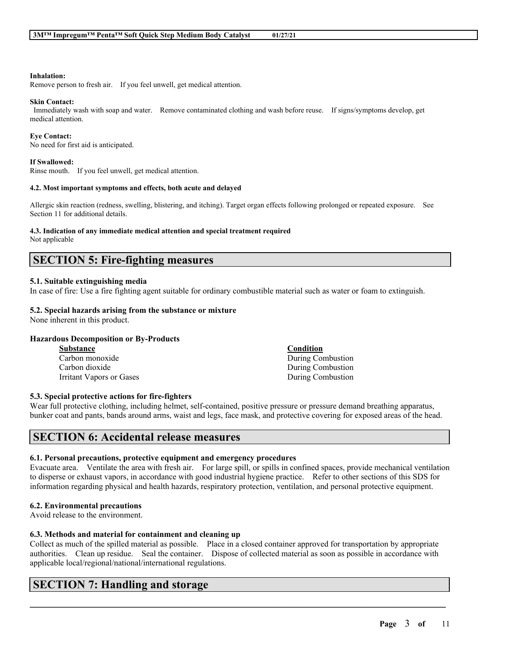#### **Inhalation:**

Remove person to fresh air. If you feel unwell, get medical attention.

#### **Skin Contact:**

Immediately wash with soap and water. Remove contaminated clothing and wash before reuse. If signs/symptoms develop, get medical attention.

#### **Eye Contact:**

No need for first aid is anticipated.

#### **If Swallowed:**

Rinse mouth. If you feel unwell, get medical attention.

#### **4.2. Most important symptoms and effects, both acute and delayed**

Allergic skin reaction (redness, swelling, blistering, and itching). Target organ effects following prolonged or repeated exposure. See Section 11 for additional details.

#### **4.3. Indication of any immediate medical attention and special treatment required**

Not applicable

# **SECTION 5: Fire-fighting measures**

### **5.1. Suitable extinguishing media**

In case of fire: Use a fire fighting agent suitable for ordinary combustible material such as water or foam to extinguish.

### **5.2. Special hazards arising from the substance or mixture**

None inherent in this product.

#### **Hazardous Decomposition or By-Products**

| <b>Substance</b>         | Condition         |
|--------------------------|-------------------|
| Carbon monoxide          | During Combustion |
| Carbon dioxide           | During Combustion |
| Irritant Vapors or Gases | During Combustion |

#### **5.3. Special protective actions for fire-fighters**

Wear full protective clothing, including helmet, self-contained, positive pressure or pressure demand breathing apparatus, bunker coat and pants, bands around arms, waist and legs, face mask, and protective covering for exposed areas of the head.

# **SECTION 6: Accidental release measures**

#### **6.1. Personal precautions, protective equipment and emergency procedures**

Evacuate area. Ventilate the area with fresh air. For large spill, or spills in confined spaces, provide mechanical ventilation to disperse or exhaust vapors, in accordance with good industrial hygiene practice. Refer to other sections of this SDS for information regarding physical and health hazards, respiratory protection, ventilation, and personal protective equipment.

# **6.2. Environmental precautions**

Avoid release to the environment.

### **6.3. Methods and material for containment and cleaning up**

Collect as much of the spilled material as possible. Place in a closed container approved for transportation by appropriate authorities. Clean up residue. Seal the container. Dispose of collected material as soon as possible in accordance with applicable local/regional/national/international regulations.

 $\mathcal{L}_\mathcal{L} = \mathcal{L}_\mathcal{L} = \mathcal{L}_\mathcal{L} = \mathcal{L}_\mathcal{L} = \mathcal{L}_\mathcal{L} = \mathcal{L}_\mathcal{L} = \mathcal{L}_\mathcal{L} = \mathcal{L}_\mathcal{L} = \mathcal{L}_\mathcal{L} = \mathcal{L}_\mathcal{L} = \mathcal{L}_\mathcal{L} = \mathcal{L}_\mathcal{L} = \mathcal{L}_\mathcal{L} = \mathcal{L}_\mathcal{L} = \mathcal{L}_\mathcal{L} = \mathcal{L}_\mathcal{L} = \mathcal{L}_\mathcal{L}$ 

# **SECTION 7: Handling and storage**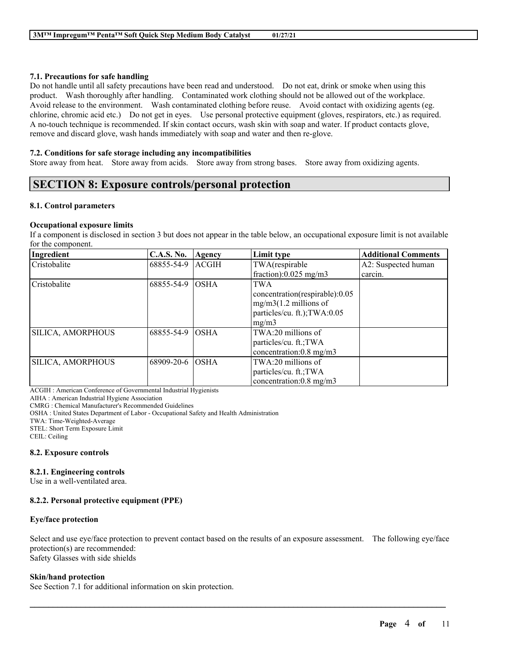### **7.1. Precautions for safe handling**

Do not handle until all safety precautions have been read and understood. Do not eat, drink or smoke when using this product. Wash thoroughly after handling. Contaminated work clothing should not be allowed out of the workplace. Avoid release to the environment. Wash contaminated clothing before reuse. Avoid contact with oxidizing agents (eg. chlorine, chromic acid etc.) Do not get in eyes. Use personal protective equipment (gloves, respirators, etc.) as required. A no-touch technique is recommended. If skin contact occurs, wash skin with soap and water. If product contacts glove, remove and discard glove, wash hands immediately with soap and water and then re-glove.

### **7.2. Conditions for safe storage including any incompatibilities**

Store away from heat. Store away from acids. Store away from strong bases. Store away from oxidizing agents.

# **SECTION 8: Exposure controls/personal protection**

### **8.1. Control parameters**

### **Occupational exposure limits**

If a component is disclosed in section 3 but does not appear in the table below, an occupational exposure limit is not available for the component.

| Ingredient        | <b>C.A.S. No.</b> | Agency       | Limit type                          | <b>Additional Comments</b> |
|-------------------|-------------------|--------------|-------------------------------------|----------------------------|
| Cristobalite      | 68855-54-9        | <b>ACGIH</b> | TWA(respirable                      | A2: Suspected human        |
|                   |                   |              | fraction): $0.025$ mg/m3            | carcin.                    |
| Cristobalite      | 68855-54-9        | <b>OSHA</b>  | <b>TWA</b>                          |                            |
|                   |                   |              | concentration(respirable):0.05      |                            |
|                   |                   |              | $mg/m3(1.2$ millions of             |                            |
|                   |                   |              | particles/cu. ft.); TWA:0.05        |                            |
|                   |                   |              | mg/m3                               |                            |
| SILICA, AMORPHOUS | 68855-54-9        | <b>OSHA</b>  | $TWA:20$ millions of                |                            |
|                   |                   |              | particles/cu. ft.;TWA               |                            |
|                   |                   |              | concentration: $0.8 \text{ mg/m}$ 3 |                            |
| SILICA, AMORPHOUS | 68909-20-6        | <b>OSHA</b>  | $TWA:20$ millions of                |                            |
|                   |                   |              | particles/cu. ft.; TWA              |                            |
|                   |                   |              | concentration: $0.8 \text{ mg/m}$   |                            |

ACGIH : American Conference of Governmental Industrial Hygienists

AIHA : American Industrial Hygiene Association

CMRG : Chemical Manufacturer's Recommended Guidelines

OSHA : United States Department of Labor - Occupational Safety and Health Administration

TWA: Time-Weighted-Average

STEL: Short Term Exposure Limit

CEIL: Ceiling

#### **8.2. Exposure controls**

# **8.2.1. Engineering controls**

Use in a well-ventilated area.

# **8.2.2. Personal protective equipment (PPE)**

#### **Eye/face protection**

Select and use eye/face protection to prevent contact based on the results of an exposure assessment. The following eye/face protection(s) are recommended: Safety Glasses with side shields

 $\mathcal{L}_\mathcal{L} = \mathcal{L}_\mathcal{L} = \mathcal{L}_\mathcal{L} = \mathcal{L}_\mathcal{L} = \mathcal{L}_\mathcal{L} = \mathcal{L}_\mathcal{L} = \mathcal{L}_\mathcal{L} = \mathcal{L}_\mathcal{L} = \mathcal{L}_\mathcal{L} = \mathcal{L}_\mathcal{L} = \mathcal{L}_\mathcal{L} = \mathcal{L}_\mathcal{L} = \mathcal{L}_\mathcal{L} = \mathcal{L}_\mathcal{L} = \mathcal{L}_\mathcal{L} = \mathcal{L}_\mathcal{L} = \mathcal{L}_\mathcal{L}$ 

### **Skin/hand protection**

See Section 7.1 for additional information on skin protection.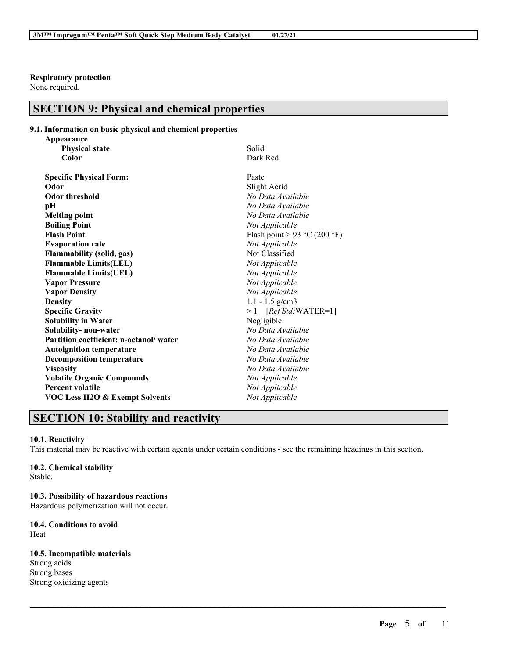**Respiratory protection**

None required.

# **SECTION 9: Physical and chemical properties**

# **9.1. Information on basic physical and chemical properties**

| Appearance                                |                              |
|-------------------------------------------|------------------------------|
| <b>Physical state</b>                     | Solid                        |
| Color                                     | Dark Red                     |
| <b>Specific Physical Form:</b>            | Paste                        |
| Odor                                      | Slight Acrid                 |
| <b>Odor threshold</b>                     | No Data Available            |
| рH                                        | No Data Available            |
| <b>Melting point</b>                      | No Data Available            |
| <b>Boiling Point</b>                      | Not Applicable               |
| <b>Flash Point</b>                        | Flash point > 93 °C (200 °F) |
| <b>Evaporation rate</b>                   | Not Applicable               |
| <b>Flammability (solid, gas)</b>          | Not Classified               |
| <b>Flammable Limits(LEL)</b>              | Not Applicable               |
| <b>Flammable Limits(UEL)</b>              | Not Applicable               |
| <b>Vapor Pressure</b>                     | Not Applicable               |
| <b>Vapor Density</b>                      | Not Applicable               |
| <b>Density</b>                            | $1.1 - 1.5$ g/cm3            |
| <b>Specific Gravity</b>                   | $>1$ [Ref Std:WATER=1]       |
| <b>Solubility in Water</b>                | Negligible                   |
| Solubility- non-water                     | No Data Available            |
| Partition coefficient: n-octanol/water    | No Data Available            |
| <b>Autoignition temperature</b>           | No Data Available            |
| <b>Decomposition temperature</b>          | No Data Available            |
| <b>Viscosity</b>                          | No Data Available            |
| <b>Volatile Organic Compounds</b>         | Not Applicable               |
| <b>Percent volatile</b>                   | Not Applicable               |
| <b>VOC Less H2O &amp; Exempt Solvents</b> | Not Applicable               |

# **SECTION 10: Stability and reactivity**

### **10.1. Reactivity**

This material may be reactive with certain agents under certain conditions - see the remaining headings in this section.

 $\mathcal{L}_\mathcal{L} = \mathcal{L}_\mathcal{L} = \mathcal{L}_\mathcal{L} = \mathcal{L}_\mathcal{L} = \mathcal{L}_\mathcal{L} = \mathcal{L}_\mathcal{L} = \mathcal{L}_\mathcal{L} = \mathcal{L}_\mathcal{L} = \mathcal{L}_\mathcal{L} = \mathcal{L}_\mathcal{L} = \mathcal{L}_\mathcal{L} = \mathcal{L}_\mathcal{L} = \mathcal{L}_\mathcal{L} = \mathcal{L}_\mathcal{L} = \mathcal{L}_\mathcal{L} = \mathcal{L}_\mathcal{L} = \mathcal{L}_\mathcal{L}$ 

# **10.2. Chemical stability**

Stable.

**10.3. Possibility of hazardous reactions** Hazardous polymerization will not occur.

# **10.4. Conditions to avoid** Heat

**10.5. Incompatible materials** Strong acids Strong bases Strong oxidizing agents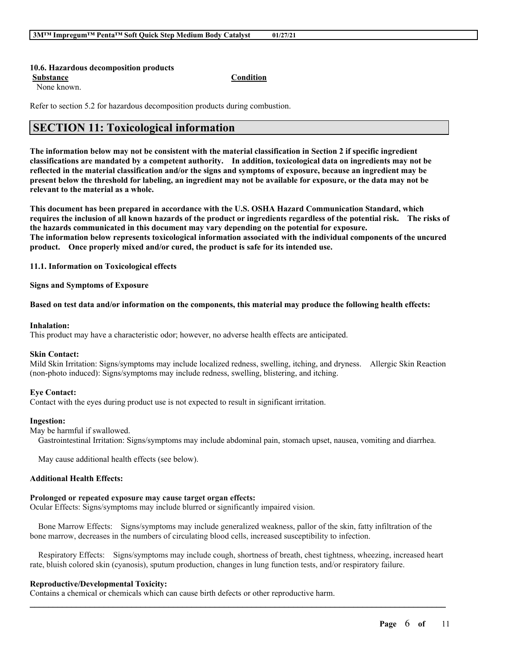#### **10.6. Hazardous decomposition products**

**Substance Condition**

None known.

Refer to section 5.2 for hazardous decomposition products during combustion.

# **SECTION 11: Toxicological information**

The information below may not be consistent with the material classification in Section 2 if specific ingredient **classifications are mandated by a competent authority. In addition, toxicological data on ingredients may not be** reflected in the material classification and/or the signs and symptoms of exposure, because an ingredient may be present below the threshold for labeling, an ingredient may not be available for exposure, or the data may not be **relevant to the material as a whole.**

**This document has been prepared in accordance with the U.S. OSHA Hazard Communication Standard, which** requires the inclusion of all known hazards of the product or ingredients regardless of the potential risk. The risks of **the hazards communicated in this document may vary depending on the potential for exposure. The information below represents toxicological information associated with the individual components of the uncured product. Once properly mixed and/or cured, the product is safe for its intended use.**

**11.1. Information on Toxicological effects**

**Signs and Symptoms of Exposure**

Based on test data and/or information on the components, this material may produce the following health effects:

#### **Inhalation:**

This product may have a characteristic odor; however, no adverse health effects are anticipated.

#### **Skin Contact:**

Mild Skin Irritation: Signs/symptoms may include localized redness, swelling, itching, and dryness. Allergic Skin Reaction (non-photo induced): Signs/symptoms may include redness, swelling, blistering, and itching.

#### **Eye Contact:**

Contact with the eyes during product use is not expected to result in significant irritation.

#### **Ingestion:**

May be harmful if swallowed.

Gastrointestinal Irritation: Signs/symptoms may include abdominal pain, stomach upset, nausea, vomiting and diarrhea.

May cause additional health effects (see below).

#### **Additional Health Effects:**

#### **Prolonged or repeated exposure may cause target organ effects:**

Ocular Effects: Signs/symptoms may include blurred or significantly impaired vision.

Bone Marrow Effects: Signs/symptoms may include generalized weakness, pallor of the skin, fatty infiltration of the bone marrow, decreases in the numbers of circulating blood cells, increased susceptibility to infection.

Respiratory Effects: Signs/symptoms may include cough, shortness of breath, chest tightness, wheezing, increased heart rate, bluish colored skin (cyanosis), sputum production, changes in lung function tests, and/or respiratory failure.

 $\mathcal{L}_\mathcal{L} = \mathcal{L}_\mathcal{L} = \mathcal{L}_\mathcal{L} = \mathcal{L}_\mathcal{L} = \mathcal{L}_\mathcal{L} = \mathcal{L}_\mathcal{L} = \mathcal{L}_\mathcal{L} = \mathcal{L}_\mathcal{L} = \mathcal{L}_\mathcal{L} = \mathcal{L}_\mathcal{L} = \mathcal{L}_\mathcal{L} = \mathcal{L}_\mathcal{L} = \mathcal{L}_\mathcal{L} = \mathcal{L}_\mathcal{L} = \mathcal{L}_\mathcal{L} = \mathcal{L}_\mathcal{L} = \mathcal{L}_\mathcal{L}$ 

#### **Reproductive/Developmental Toxicity:**

Contains a chemical or chemicals which can cause birth defects or other reproductive harm.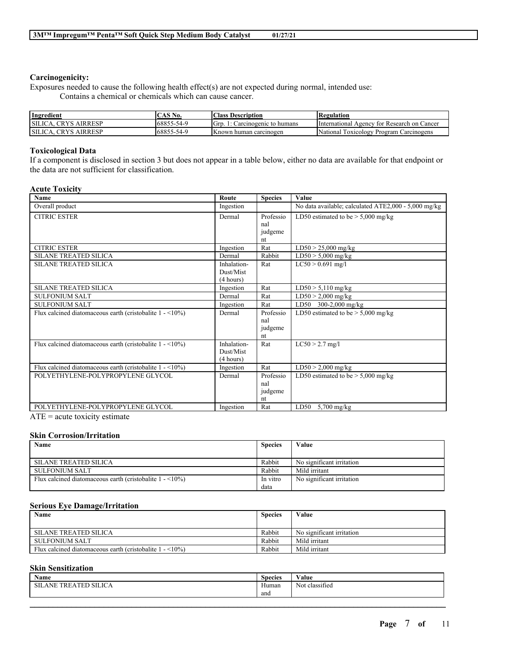### **Carcinogenicity:**

Exposures needed to cause the following health effect(s) are not expected during normal, intended use: Contains a chemical or chemicals which can cause cancer.

| Ingredient                          | . AS No.   | <b>Class Description</b>       | <b>Regulation</b>                                |
|-------------------------------------|------------|--------------------------------|--------------------------------------------------|
| . CRYS AIRRESP<br>SILICA.           | 68855-54-9 | Grp.<br>Carcinogenic to humans | International Agency for Research on Cancer      |
| <b>CRYS</b><br>, AIRRESP<br>SILICA. | 68855-54-9 | Known human carcinogen         | National<br>Program<br>Toxicology<br>Carcinogens |

### **Toxicological Data**

If a component is disclosed in section 3 but does not appear in a table below, either no data are available for that endpoint or the data are not sufficient for classification.

### **Acute Toxicity**

| <b>Name</b>                                                                 | Route       | <b>Species</b> | <b>Value</b>                                         |
|-----------------------------------------------------------------------------|-------------|----------------|------------------------------------------------------|
| Overall product                                                             | Ingestion   |                | No data available; calculated ATE2,000 - 5,000 mg/kg |
| <b>CITRIC ESTER</b>                                                         | Dermal      | Professio      | LD50 estimated to be $> 5,000$ mg/kg                 |
|                                                                             |             | nal            |                                                      |
|                                                                             |             | judgeme        |                                                      |
|                                                                             |             | nt             |                                                      |
| <b>CITRIC ESTER</b>                                                         | Ingestion   | Rat            | $LD50 > 25,000$ mg/kg                                |
| <b>SILANE TREATED SILICA</b>                                                | Dermal      | Rabbit         | $LD50 > 5,000$ mg/kg                                 |
| <b>SILANE TREATED SILICA</b>                                                | Inhalation- | Rat            | $LC50 > 0.691$ mg/l                                  |
|                                                                             | Dust/Mist   |                |                                                      |
|                                                                             | (4 hours)   |                |                                                      |
| <b>SILANE TREATED SILICA</b>                                                | Ingestion   | Rat            | $LD50 > 5,110$ mg/kg                                 |
| <b>SULFONIUM SALT</b>                                                       | Dermal      | Rat            | $LD50 > 2,000$ mg/kg                                 |
| <b>SULFONIUM SALT</b>                                                       | Ingestion   | Rat            | LD50 300-2,000 mg/kg                                 |
| Flux calcined diatomaceous earth (cristobalite $1 - 10\%$ )                 | Dermal      | Professio      | LD50 estimated to be $>$ 5,000 mg/kg                 |
|                                                                             |             | nal            |                                                      |
|                                                                             |             | judgeme        |                                                      |
|                                                                             |             | nt             |                                                      |
| Flux calcined diatomaceous earth (cristobalite $1 - \langle 10\% \rangle$ ) | Inhalation- | Rat            | $LC50 > 2.7$ mg/l                                    |
|                                                                             | Dust/Mist   |                |                                                      |
|                                                                             | (4 hours)   |                |                                                      |
| Flux calcined diatomaceous earth (cristobalite $1 - \langle 10\% \rangle$ ) | Ingestion   | Rat            | $LD50 > 2,000$ mg/kg                                 |
| POLYETHYLENE-POLYPROPYLENE GLYCOL                                           | Dermal      | Professio      | LD50 estimated to be $> 5,000$ mg/kg                 |
|                                                                             |             | nal            |                                                      |
|                                                                             |             | judgeme        |                                                      |
|                                                                             |             | nt             |                                                      |
| POLYETHYLENE-POLYPROPYLENE GLYCOL                                           | Ingestion   | Rat            | LD50<br>$5,700$ mg/kg                                |

ATE = acute toxicity estimate

# **Skin Corrosion/Irritation**

| Name                                                                        | <b>Species</b> | Value                     |
|-----------------------------------------------------------------------------|----------------|---------------------------|
|                                                                             |                |                           |
| <b>SILANE TREATED SILICA</b>                                                | Rabbit         | No significant irritation |
| <b>SULFONIUM SALT</b>                                                       | Rabbit         | Mild irritant             |
| Flux calcined diatomaceous earth (cristobalite $1 - \langle 10\% \rangle$ ) | In vitro       | No significant irritation |
|                                                                             | data           |                           |

### **Serious Eye Damage/Irritation**

| Name                                                                        | <b>Species</b> | Value                     |
|-----------------------------------------------------------------------------|----------------|---------------------------|
|                                                                             |                |                           |
| <b>SILANE TREATED SILICA</b>                                                | Rabbit         | No significant irritation |
| <b>SULFONIUM SALT</b>                                                       | Rabbit         | Mild irritant             |
| Flux calcined diatomaceous earth (cristobalite $1 - \langle 10\% \rangle$ ) | Rabbit         | Mild irritant             |

# **Skin Sensitization**

| -<br>Name                                                                  | $\sim$<br><b>Species</b> | V alue                              |
|----------------------------------------------------------------------------|--------------------------|-------------------------------------|
| SILICA ו<br><b>COLORED THE</b><br><b>CONTRACT</b><br>SШ<br>ANE<br>- I K 1. | <b>YY</b><br>Human       | $\cdot$ $\sim$<br>classified<br>Not |
|                                                                            | and                      |                                     |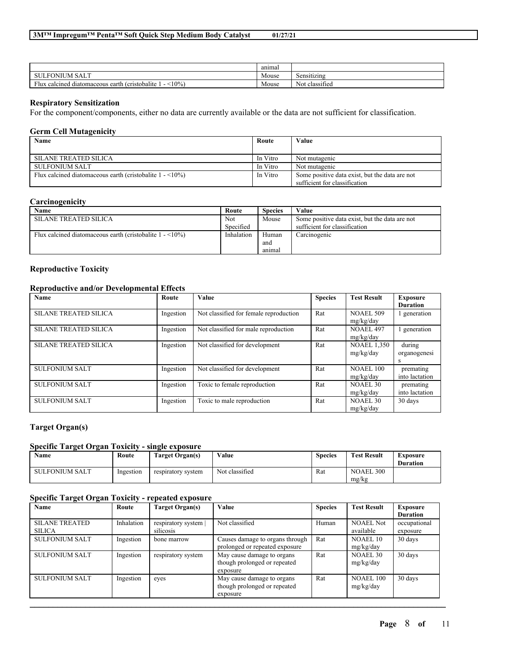|                                                                                   | anımal |                             |
|-----------------------------------------------------------------------------------|--------|-----------------------------|
| $\mathbf{v}$ and<br><b>SULF</b><br><b>ONIUM</b><br>5AL I                          | Mouse  | Sensitizing                 |
| Flux<br>$10\%$<br>(cristobalite<br>calcined<br>l diatomaceous<br>earth<br>- 1 1 1 | Mouse  | $\sim$<br>classified<br>Not |

#### **Respiratory Sensitization**

├

For the component/components, either no data are currently available or the data are not sufficient for classification.

#### **Germ Cell Mutagenicity**

| Name                                                                        | Route    | Value                                          |
|-----------------------------------------------------------------------------|----------|------------------------------------------------|
|                                                                             |          |                                                |
| <b>SILANE TREATED SILICA</b>                                                | In Vitro | Not mutagenic                                  |
| SULFONIUM SALT                                                              | In Vitro | Not mutagenic                                  |
| Flux calcined diatomaceous earth (cristobalite $1 - \langle 10\% \rangle$ ) | In Vitro | Some positive data exist, but the data are not |
|                                                                             |          | sufficient for classification                  |

# **Carcinogenicity**

| Name                                                                        | Route      | <b>Species</b> | Value                                          |
|-----------------------------------------------------------------------------|------------|----------------|------------------------------------------------|
| <b>SILANE TREATED SILICA</b>                                                | Not        | Mouse          | Some positive data exist, but the data are not |
|                                                                             | Specified  |                | sufficient for classification                  |
| Flux calcined diatomaceous earth (cristobalite $1 - \langle 10\% \rangle$ ) | Inhalation | Human          | Carcinogenic                                   |
|                                                                             |            | and            |                                                |
|                                                                             |            | anımal         |                                                |

### **Reproductive Toxicity**

# **Reproductive and/or Developmental Effects**

| Name                         | Route     | Value                                  | <b>Species</b> | <b>Test Result</b>              | <b>Exposure</b><br><b>Duration</b> |
|------------------------------|-----------|----------------------------------------|----------------|---------------------------------|------------------------------------|
| <b>SILANE TREATED SILICA</b> | Ingestion | Not classified for female reproduction | Rat            | <b>NOAEL 509</b><br>mg/kg/day   | generation                         |
| <b>SILANE TREATED SILICA</b> | Ingestion | Not classified for male reproduction   | Rat            | <b>NOAEL 497</b><br>mg/kg/day   | generation                         |
| <b>SILANE TREATED SILICA</b> | Ingestion | Not classified for development         | Rat            | <b>NOAEL 1,350</b><br>mg/kg/day | during<br>organogenesi<br>S        |
| <b>SULFONIUM SALT</b>        | Ingestion | Not classified for development         | Rat            | <b>NOAEL 100</b><br>mg/kg/day   | premating<br>into lactation        |
| <b>SULFONIUM SALT</b>        | Ingestion | Toxic to female reproduction           | Rat            | NOAEL 30<br>mg/kg/day           | premating<br>into lactation        |
| <b>SULFONIUM SALT</b>        | Ingestion | Toxic to male reproduction             | Rat            | NOAEL 30<br>mg/kg/day           | 30 days                            |

# **Target Organ(s)**

#### **Specific Target Organ Toxicity - single exposure**

| Name                  | Route     | <b>Target Organ(s)</b> | Value          | <b>Species</b> | <b>Test Result</b>        | Exposure<br><b>Duration</b> |
|-----------------------|-----------|------------------------|----------------|----------------|---------------------------|-----------------------------|
| <b>SULFONIUM SALT</b> | Ingestion | respiratory system     | Not classified | Rat            | <b>NOAEL 300</b><br>mg/kg |                             |

# **Specific Target Organ Toxicity - repeated exposure**

| Name                                   | Route      | Target Organ(s)                   | Value                                                                  | <b>Species</b> | <b>Test Result</b>            | Exposure<br><b>Duration</b> |
|----------------------------------------|------------|-----------------------------------|------------------------------------------------------------------------|----------------|-------------------------------|-----------------------------|
| <b>SILANE TREATED</b><br><b>SILICA</b> | Inhalation | respiratory system  <br>silicosis | Not classified                                                         | Human          | <b>NOAEL Not</b><br>available | occupational<br>exposure    |
| <b>SULFONIUM SALT</b>                  | Ingestion  | bone marrow                       | Causes damage to organs through<br>prolonged or repeated exposure      | Rat            | NOAEL 10<br>mg/kg/day         | 30 days                     |
| <b>SULFONIUM SALT</b>                  | Ingestion  | respiratory system                | May cause damage to organs<br>though prolonged or repeated<br>exposure | Rat            | NOAEL 30<br>mg/kg/day         | 30 days                     |
| <b>SULFONIUM SALT</b>                  | Ingestion  | eyes                              | May cause damage to organs<br>though prolonged or repeated<br>exposure | Rat            | NOAEL 100<br>mg/kg/day        | 30 days                     |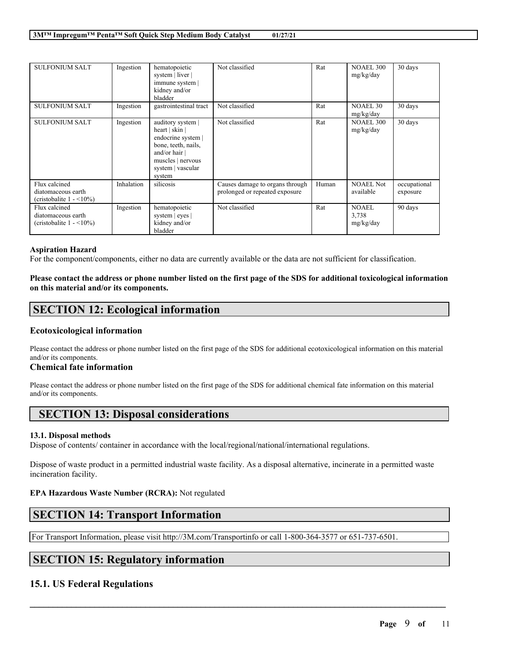| <b>SULFONIUM SALT</b>                                                             | Ingestion  | hematopoietic<br>system   liver  <br>immune system  <br>kidney and/or<br>bladder                                                                            | Not classified                                                    | Rat   | <b>NOAEL 300</b><br>mg/kg/day | 30 days                  |
|-----------------------------------------------------------------------------------|------------|-------------------------------------------------------------------------------------------------------------------------------------------------------------|-------------------------------------------------------------------|-------|-------------------------------|--------------------------|
| <b>SULFONIUM SALT</b>                                                             | Ingestion  | gastrointestinal tract                                                                                                                                      | Not classified                                                    | Rat   | <b>NOAEL 30</b><br>mg/kg/day  | 30 days                  |
| <b>SULFONIUM SALT</b>                                                             | Ingestion  | auditory system  <br>heart   skin  <br>endocrine system  <br>bone, teeth, nails,<br>and/or hair $\vert$<br>muscles   nervous<br>system   vascular<br>system | Not classified                                                    | Rat   | <b>NOAEL 300</b><br>mg/kg/day | 30 days                  |
| Flux calcined<br>diatomaceous earth<br>(cristobalite $1 - \langle 10\% \rangle$ ) | Inhalation | silicosis                                                                                                                                                   | Causes damage to organs through<br>prolonged or repeated exposure | Human | <b>NOAEL Not</b><br>available | occupational<br>exposure |
| Flux calcined<br>diatomaceous earth<br>(cristobalite $1 - \langle 10\% \rangle$ ) | Ingestion  | hematopoietic<br>system $ $ eyes $ $<br>kidney and/or<br>bladder                                                                                            | Not classified                                                    | Rat   | NOAEL<br>3,738<br>mg/kg/day   | 90 days                  |

### **Aspiration Hazard**

For the component/components, either no data are currently available or the data are not sufficient for classification.

Please contact the address or phone number listed on the first page of the SDS for additional toxicological information **on this material and/or its components.**

# **SECTION 12: Ecological information**

### **Ecotoxicological information**

Please contact the address or phone number listed on the first page of the SDS for additional ecotoxicological information on this material and/or its components.

### **Chemical fate information**

Please contact the address or phone number listed on the first page of the SDS for additional chemical fate information on this material and/or its components.

# **SECTION 13: Disposal considerations**

#### **13.1. Disposal methods**

Dispose of contents/ container in accordance with the local/regional/national/international regulations.

Dispose of waste product in a permitted industrial waste facility. As a disposal alternative, incinerate in a permitted waste incineration facility.

 $\mathcal{L}_\mathcal{L} = \mathcal{L}_\mathcal{L} = \mathcal{L}_\mathcal{L} = \mathcal{L}_\mathcal{L} = \mathcal{L}_\mathcal{L} = \mathcal{L}_\mathcal{L} = \mathcal{L}_\mathcal{L} = \mathcal{L}_\mathcal{L} = \mathcal{L}_\mathcal{L} = \mathcal{L}_\mathcal{L} = \mathcal{L}_\mathcal{L} = \mathcal{L}_\mathcal{L} = \mathcal{L}_\mathcal{L} = \mathcal{L}_\mathcal{L} = \mathcal{L}_\mathcal{L} = \mathcal{L}_\mathcal{L} = \mathcal{L}_\mathcal{L}$ 

# **EPA Hazardous Waste Number (RCRA):** Not regulated

# **SECTION 14: Transport Information**

For Transport Information, please visit http://3M.com/Transportinfo or call 1-800-364-3577 or 651-737-6501.

# **SECTION 15: Regulatory information**

# **15.1. US Federal Regulations**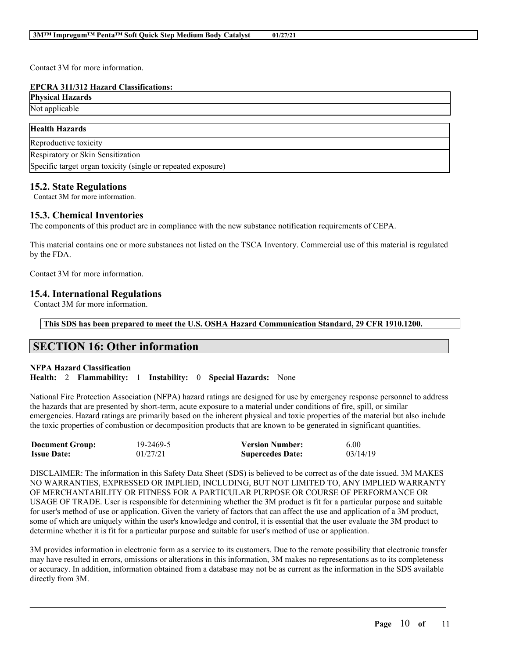Contact 3M for more information.

### **EPCRA 311/312 Hazard Classifications:**

| <b>Physical Hazards</b> |  |
|-------------------------|--|
| Not applicable          |  |
|                         |  |

| <b>Health Hazards</b>                                        |  |
|--------------------------------------------------------------|--|
| Reproductive toxicity                                        |  |
| Respiratory or Skin Sensitization                            |  |
| Specific target organ toxicity (single or repeated exposure) |  |

# **15.2. State Regulations**

Contact 3M for more information.

# **15.3. Chemical Inventories**

The components of this product are in compliance with the new substance notification requirements of CEPA.

This material contains one or more substances not listed on the TSCA Inventory. Commercial use of this material is regulated by the FDA.

Contact 3M for more information.

# **15.4. International Regulations**

Contact 3M for more information.

**This SDS has been prepared to meet the U.S. OSHA Hazard Communication Standard, 29 CFR 1910.1200.**

# **SECTION 16: Other information**

# **NFPA Hazard Classification**

**Health:** 2 **Flammability:** 1 **Instability:** 0 **Special Hazards:** None

National Fire Protection Association (NFPA) hazard ratings are designed for use by emergency response personnel to address the hazards that are presented by short-term, acute exposure to a material under conditions of fire, spill, or similar emergencies. Hazard ratings are primarily based on the inherent physical and toxic properties of the material but also include the toxic properties of combustion or decomposition products that are known to be generated in significant quantities.

| <b>Document Group:</b> | 19-2469-5 | <b>Version Number:</b>  | 6.00     |
|------------------------|-----------|-------------------------|----------|
| <b>Issue Date:</b>     | 01/27/21  | <b>Supercedes Date:</b> | 03/14/19 |

DISCLAIMER: The information in this Safety Data Sheet (SDS) is believed to be correct as of the date issued. 3M MAKES NO WARRANTIES, EXPRESSED OR IMPLIED, INCLUDING, BUT NOT LIMITED TO, ANY IMPLIED WARRANTY OF MERCHANTABILITY OR FITNESS FOR A PARTICULAR PURPOSE OR COURSE OF PERFORMANCE OR USAGE OF TRADE. User is responsible for determining whether the 3M product is fit for a particular purpose and suitable for user's method of use or application. Given the variety of factors that can affect the use and application of a 3M product, some of which are uniquely within the user's knowledge and control, it is essential that the user evaluate the 3M product to determine whether it is fit for a particular purpose and suitable for user's method of use or application.

3M provides information in electronic form as a service to its customers. Due to the remote possibility that electronic transfer may have resulted in errors, omissions or alterations in this information, 3M makes no representations as to its completeness or accuracy. In addition, information obtained from a database may not be as current as the information in the SDS available directly from 3M.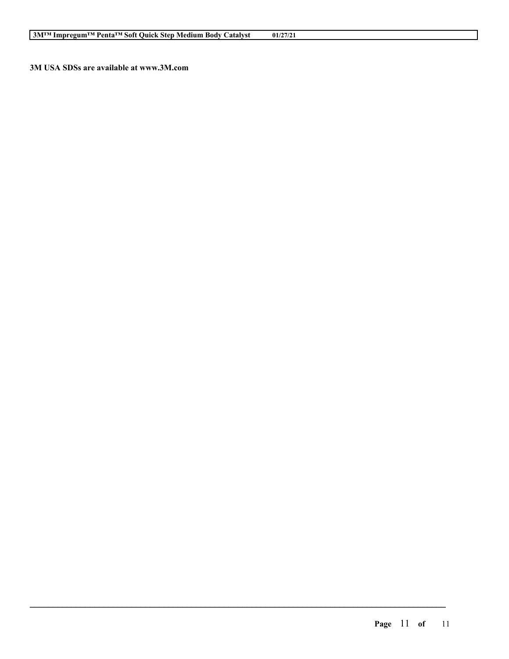**3M USA SDSs are available at www.3M.com**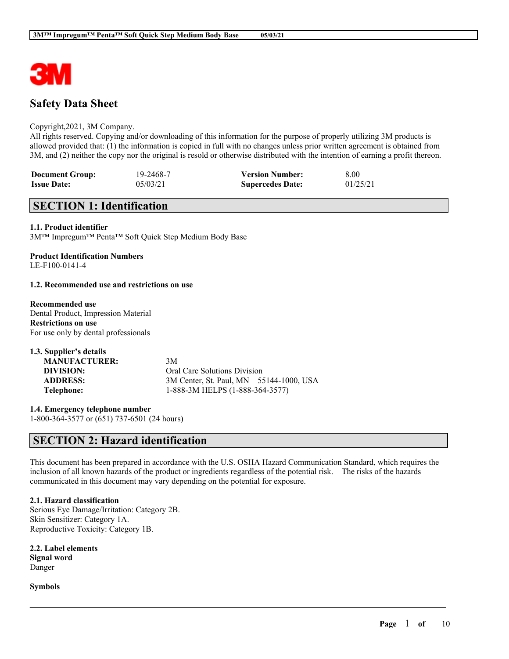

# **Safety Data Sheet**

### Copyright,2021, 3M Company.

All rights reserved. Copying and/or downloading of this information for the purpose of properly utilizing 3M products is allowed provided that: (1) the information is copied in full with no changes unless prior written agreement is obtained from 3M, and (2) neither the copy nor the original is resold or otherwise distributed with the intention of earning a profit thereon.

| <b>Document Group:</b> | 19-2468-7 | <b>Version Number:</b>  | 8.00     |
|------------------------|-----------|-------------------------|----------|
| <b>Issue Date:</b>     | 05/03/21  | <b>Supercedes Date:</b> | 01/25/21 |

# **SECTION 1: Identification**

### **1.1. Product identifier**

3M™ Impregum™ Penta™ Soft Quick Step Medium Body Base

#### **Product Identification Numbers** LE-F100-0141-4

### **1.2. Recommended use and restrictions on use**

# **Recommended use** Dental Product, Impression Material

**Restrictions on use** For use only by dental professionals

| 1.3. Supplier's details |                                         |
|-------------------------|-----------------------------------------|
| <b>MANUFACTURER:</b>    | 3M                                      |
| DIVISION:               | Oral Care Solutions Division            |
| <b>ADDRESS:</b>         | 3M Center, St. Paul, MN 55144-1000, USA |
| Telephone:              | 1-888-3M HELPS (1-888-364-3577)         |

**1.4. Emergency telephone number** 1-800-364-3577 or (651) 737-6501 (24 hours)

# **SECTION 2: Hazard identification**

This document has been prepared in accordance with the U.S. OSHA Hazard Communication Standard, which requires the inclusion of all known hazards of the product or ingredients regardless of the potential risk. The risks of the hazards communicated in this document may vary depending on the potential for exposure.

 $\mathcal{L}_\mathcal{L} = \mathcal{L}_\mathcal{L} = \mathcal{L}_\mathcal{L} = \mathcal{L}_\mathcal{L} = \mathcal{L}_\mathcal{L} = \mathcal{L}_\mathcal{L} = \mathcal{L}_\mathcal{L} = \mathcal{L}_\mathcal{L} = \mathcal{L}_\mathcal{L} = \mathcal{L}_\mathcal{L} = \mathcal{L}_\mathcal{L} = \mathcal{L}_\mathcal{L} = \mathcal{L}_\mathcal{L} = \mathcal{L}_\mathcal{L} = \mathcal{L}_\mathcal{L} = \mathcal{L}_\mathcal{L} = \mathcal{L}_\mathcal{L}$ 

# **2.1. Hazard classification**

Serious Eye Damage/Irritation: Category 2B. Skin Sensitizer: Category 1A. Reproductive Toxicity: Category 1B.

**2.2. Label elements Signal word** Danger

**Symbols**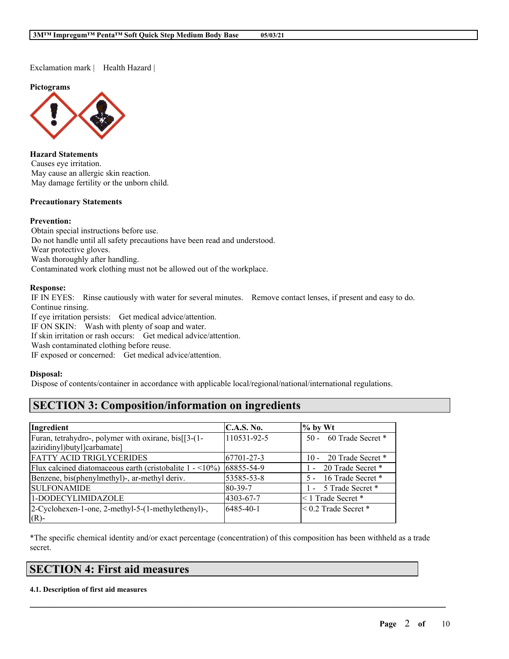Exclamation mark | Health Hazard |

**Pictograms**



**Hazard Statements** Causes eye irritation. May cause an allergic skin reaction. May damage fertility or the unborn child.

#### **Precautionary Statements**

### **Prevention:**

Obtain special instructions before use. Do not handle until all safety precautions have been read and understood. Wear protective gloves. Wash thoroughly after handling. Contaminated work clothing must not be allowed out of the workplace.

# **Response:**

IF IN EYES: Rinse cautiously with water for several minutes. Remove contact lenses, if present and easy to do. Continue rinsing.

If eye irritation persists: Get medical advice/attention.

IF ON SKIN: Wash with plenty of soap and water.

If skin irritation or rash occurs: Get medical advice/attention.

Wash contaminated clothing before reuse.

IF exposed or concerned: Get medical advice/attention.

### **Disposal:**

Dispose of contents/container in accordance with applicable local/regional/national/international regulations.

# **SECTION 3: Composition/information on ingredients**

| Ingredient                                                                  | <b>C.A.S. No.</b> | $\%$ by Wt               |
|-----------------------------------------------------------------------------|-------------------|--------------------------|
| Furan, tetrahydro-, polymer with oxirane, bis[[3-(1-                        | 110531-92-5       | 50 - 60 Trade Secret *   |
| aziridinyl)butyl]carbamate]                                                 |                   |                          |
| <b>FATTY ACID TRIGLYCERIDES</b>                                             | 67701-27-3        | 10 - 20 Trade Secret *   |
| Flux calcined diatomaceous earth (cristobalite $1 - \langle 10\% \rangle$ ) | 68855-54-9        | 1 - 20 Trade Secret *    |
| Benzene, bis(phenylmethyl)-, ar-methyl deriv.                               | 53585-53-8        | 5 - 16 Trade Secret *    |
| <b>SULFONAMIDE</b>                                                          | 80-39-7           | 1 - 5 Trade Secret *     |
| 1-DODECYLIMIDAZOLE                                                          | 4303-67-7         | <1 Trade Secret *        |
| 2-Cyclohexen-1-one, 2-methyl-5-(1-methylethenyl)-,                          | 6485-40-1         | $< 0.2$ Trade Secret $*$ |
| $(R)$ -                                                                     |                   |                          |

\*The specific chemical identity and/or exact percentage (concentration) of this composition has been withheld as a trade secret.

 $\mathcal{L}_\mathcal{L} = \mathcal{L}_\mathcal{L} = \mathcal{L}_\mathcal{L} = \mathcal{L}_\mathcal{L} = \mathcal{L}_\mathcal{L} = \mathcal{L}_\mathcal{L} = \mathcal{L}_\mathcal{L} = \mathcal{L}_\mathcal{L} = \mathcal{L}_\mathcal{L} = \mathcal{L}_\mathcal{L} = \mathcal{L}_\mathcal{L} = \mathcal{L}_\mathcal{L} = \mathcal{L}_\mathcal{L} = \mathcal{L}_\mathcal{L} = \mathcal{L}_\mathcal{L} = \mathcal{L}_\mathcal{L} = \mathcal{L}_\mathcal{L}$ 

# **SECTION 4: First aid measures**

#### **4.1. Description of first aid measures**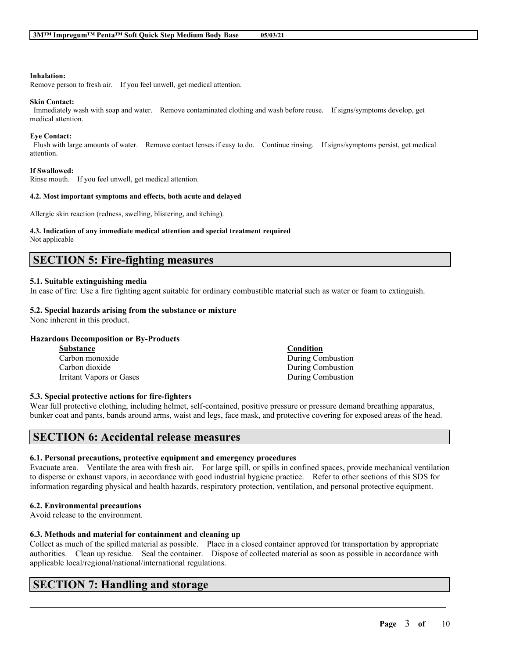#### **Inhalation:**

Remove person to fresh air. If you feel unwell, get medical attention.

#### **Skin Contact:**

Immediately wash with soap and water. Remove contaminated clothing and wash before reuse. If signs/symptoms develop, get medical attention.

#### **Eye Contact:**

Flush with large amounts of water. Remove contact lenses if easy to do. Continue rinsing. If signs/symptoms persist, get medical attention.

#### **If Swallowed:**

Rinse mouth. If you feel unwell, get medical attention.

#### **4.2. Most important symptoms and effects, both acute and delayed**

Allergic skin reaction (redness, swelling, blistering, and itching).

#### **4.3. Indication of any immediate medical attention and special treatment required**

Not applicable

# **SECTION 5: Fire-fighting measures**

### **5.1. Suitable extinguishing media**

In case of fire: Use a fire fighting agent suitable for ordinary combustible material such as water or foam to extinguish.

# **5.2. Special hazards arising from the substance or mixture**

None inherent in this product.

#### **Hazardous Decomposition or By-Products**

| <b>Substance</b>         | Condition         |
|--------------------------|-------------------|
| Carbon monoxide          | During Combustion |
| Carbon dioxide           | During Combustion |
| Irritant Vapors or Gases | During Combustion |

#### **5.3. Special protective actions for fire-fighters**

Wear full protective clothing, including helmet, self-contained, positive pressure or pressure demand breathing apparatus, bunker coat and pants, bands around arms, waist and legs, face mask, and protective covering for exposed areas of the head.

# **SECTION 6: Accidental release measures**

#### **6.1. Personal precautions, protective equipment and emergency procedures**

Evacuate area. Ventilate the area with fresh air. For large spill, or spills in confined spaces, provide mechanical ventilation to disperse or exhaust vapors, in accordance with good industrial hygiene practice. Refer to other sections of this SDS for information regarding physical and health hazards, respiratory protection, ventilation, and personal protective equipment.

#### **6.2. Environmental precautions**

Avoid release to the environment.

# **6.3. Methods and material for containment and cleaning up**

Collect as much of the spilled material as possible. Place in a closed container approved for transportation by appropriate authorities. Clean up residue. Seal the container. Dispose of collected material as soon as possible in accordance with applicable local/regional/national/international regulations.

 $\mathcal{L}_\mathcal{L} = \mathcal{L}_\mathcal{L} = \mathcal{L}_\mathcal{L} = \mathcal{L}_\mathcal{L} = \mathcal{L}_\mathcal{L} = \mathcal{L}_\mathcal{L} = \mathcal{L}_\mathcal{L} = \mathcal{L}_\mathcal{L} = \mathcal{L}_\mathcal{L} = \mathcal{L}_\mathcal{L} = \mathcal{L}_\mathcal{L} = \mathcal{L}_\mathcal{L} = \mathcal{L}_\mathcal{L} = \mathcal{L}_\mathcal{L} = \mathcal{L}_\mathcal{L} = \mathcal{L}_\mathcal{L} = \mathcal{L}_\mathcal{L}$ 

# **SECTION 7: Handling and storage**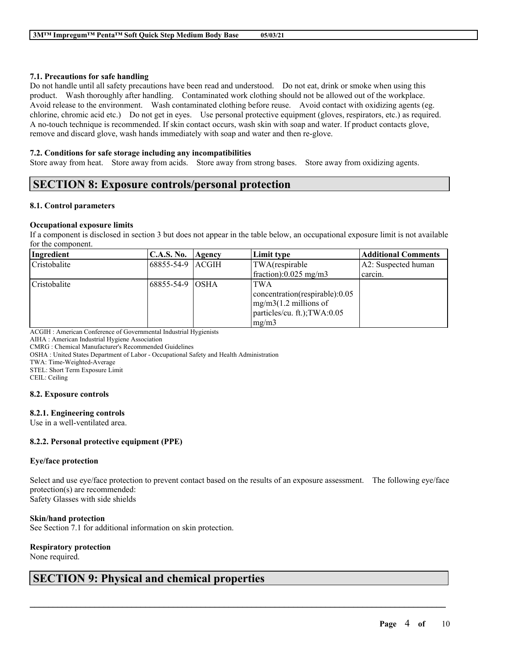### **7.1. Precautions for safe handling**

Do not handle until all safety precautions have been read and understood. Do not eat, drink or smoke when using this product. Wash thoroughly after handling. Contaminated work clothing should not be allowed out of the workplace. Avoid release to the environment. Wash contaminated clothing before reuse. Avoid contact with oxidizing agents (eg. chlorine, chromic acid etc.) Do not get in eyes. Use personal protective equipment (gloves, respirators, etc.) as required. A no-touch technique is recommended. If skin contact occurs, wash skin with soap and water. If product contacts glove, remove and discard glove, wash hands immediately with soap and water and then re-glove.

### **7.2. Conditions for safe storage including any incompatibilities**

Store away from heat. Store away from acids. Store away from strong bases. Store away from oxidizing agents.

# **SECTION 8: Exposure controls/personal protection**

### **8.1. Control parameters**

### **Occupational exposure limits**

If a component is disclosed in section 3 but does not appear in the table below, an occupational exposure limit is not available for the component.

| Ingredient   | C.A.S. No.        | Agency | Limit type                     | <b>Additional Comments</b> |
|--------------|-------------------|--------|--------------------------------|----------------------------|
| Cristobalite | 68855-54-9 ACGIH  |        | TWA(respirable                 | A2: Suspected human        |
|              |                   |        | fraction): $0.025$ mg/m3       | carcin.                    |
| Cristobalite | 168855-54-9 IOSHA |        | <b>TWA</b>                     |                            |
|              |                   |        | concentration(respirable):0.05 |                            |
|              |                   |        | $mg/m3(1.2$ millions of        |                            |
|              |                   |        | particles/cu. ft.); TWA:0.05   |                            |
|              |                   |        | mg/m3                          |                            |

ACGIH : American Conference of Governmental Industrial Hygienists

AIHA : American Industrial Hygiene Association

CMRG : Chemical Manufacturer's Recommended Guidelines

OSHA : United States Department of Labor - Occupational Safety and Health Administration

TWA: Time-Weighted-Average

STEL: Short Term Exposure Limit

CEIL: Ceiling

#### **8.2. Exposure controls**

# **8.2.1. Engineering controls**

Use in a well-ventilated area.

# **8.2.2. Personal protective equipment (PPE)**

#### **Eye/face protection**

Select and use eye/face protection to prevent contact based on the results of an exposure assessment. The following eye/face protection(s) are recommended:

 $\mathcal{L}_\mathcal{L} = \mathcal{L}_\mathcal{L} = \mathcal{L}_\mathcal{L} = \mathcal{L}_\mathcal{L} = \mathcal{L}_\mathcal{L} = \mathcal{L}_\mathcal{L} = \mathcal{L}_\mathcal{L} = \mathcal{L}_\mathcal{L} = \mathcal{L}_\mathcal{L} = \mathcal{L}_\mathcal{L} = \mathcal{L}_\mathcal{L} = \mathcal{L}_\mathcal{L} = \mathcal{L}_\mathcal{L} = \mathcal{L}_\mathcal{L} = \mathcal{L}_\mathcal{L} = \mathcal{L}_\mathcal{L} = \mathcal{L}_\mathcal{L}$ 

Safety Glasses with side shields

### **Skin/hand protection**

See Section 7.1 for additional information on skin protection.

# **Respiratory protection**

None required.

# **SECTION 9: Physical and chemical properties**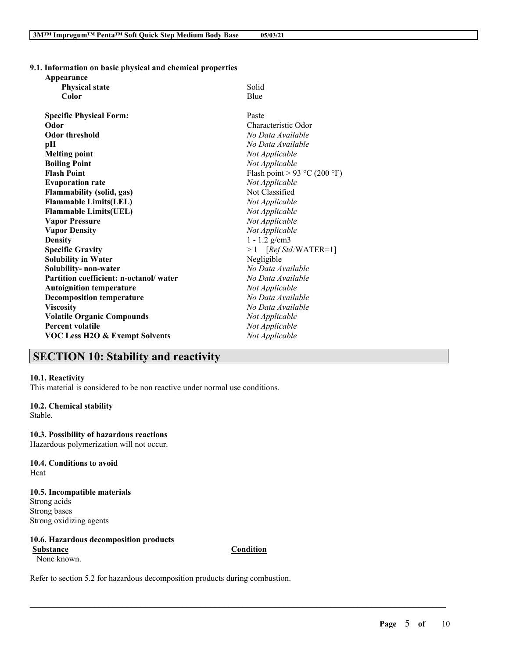**9.1. Information on basic physical and chemical properties Appearance**

| Appearance                                |                              |
|-------------------------------------------|------------------------------|
| <b>Physical state</b>                     | Solid                        |
| Color                                     | Blue                         |
| <b>Specific Physical Form:</b>            | Paste                        |
| Odor                                      | Characteristic Odor          |
| <b>Odor threshold</b>                     | No Data Available            |
| рH                                        | No Data Available            |
| <b>Melting point</b>                      | Not Applicable               |
| <b>Boiling Point</b>                      | Not Applicable               |
| <b>Flash Point</b>                        | Flash point > 93 °C (200 °F) |
| <b>Evaporation rate</b>                   | Not Applicable               |
| <b>Flammability (solid, gas)</b>          | Not Classified               |
| <b>Flammable Limits(LEL)</b>              | Not Applicable               |
| <b>Flammable Limits(UEL)</b>              | Not Applicable               |
| <b>Vapor Pressure</b>                     | Not Applicable               |
| <b>Vapor Density</b>                      | Not Applicable               |
| <b>Density</b>                            | $1 - 1.2$ g/cm3              |
| <b>Specific Gravity</b>                   | $>1$ [Ref Std:WATER=1]       |
| <b>Solubility in Water</b>                | Negligible                   |
| Solubility- non-water                     | No Data Available            |
| Partition coefficient: n-octanol/water    | No Data Available            |
| <b>Autoignition temperature</b>           | Not Applicable               |
| <b>Decomposition temperature</b>          | No Data Available            |
| <b>Viscosity</b>                          | No Data Available            |
| <b>Volatile Organic Compounds</b>         | Not Applicable               |
| <b>Percent volatile</b>                   | Not Applicable               |
| <b>VOC Less H2O &amp; Exempt Solvents</b> | Not Applicable               |
|                                           |                              |

# **SECTION 10: Stability and reactivity**

#### **10.1. Reactivity**

This material is considered to be non reactive under normal use conditions.

#### **10.2. Chemical stability**

Stable.

#### **10.3. Possibility of hazardous reactions**

Hazardous polymerization will not occur.

**10.4. Conditions to avoid** Heat

### **10.5. Incompatible materials** Strong acids

Strong bases Strong oxidizing agents

### **10.6. Hazardous decomposition products Substance Condition**

None known.

 $\mathcal{L}_\mathcal{L} = \mathcal{L}_\mathcal{L} = \mathcal{L}_\mathcal{L} = \mathcal{L}_\mathcal{L} = \mathcal{L}_\mathcal{L} = \mathcal{L}_\mathcal{L} = \mathcal{L}_\mathcal{L} = \mathcal{L}_\mathcal{L} = \mathcal{L}_\mathcal{L} = \mathcal{L}_\mathcal{L} = \mathcal{L}_\mathcal{L} = \mathcal{L}_\mathcal{L} = \mathcal{L}_\mathcal{L} = \mathcal{L}_\mathcal{L} = \mathcal{L}_\mathcal{L} = \mathcal{L}_\mathcal{L} = \mathcal{L}_\mathcal{L}$ 

Refer to section 5.2 for hazardous decomposition products during combustion.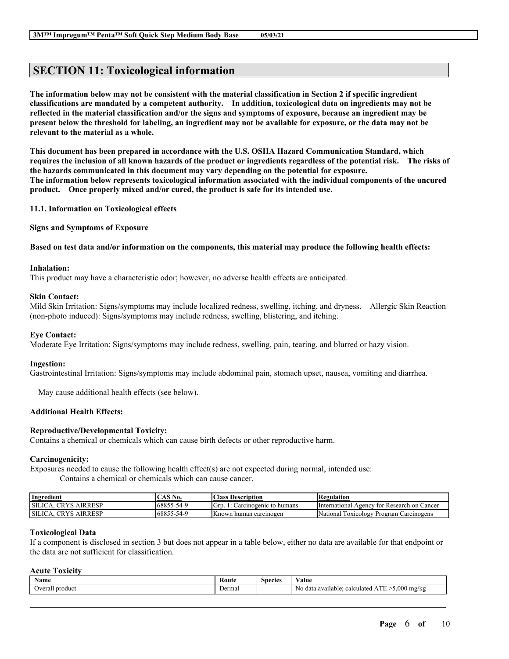# **SECTION 11: Toxicological information**

The information below may not be consistent with the material classification in Section 2 if specific ingredient **classifications are mandated by a competent authority. In addition, toxicological data on ingredients may not be** reflected in the material classification and/or the signs and symptoms of exposure, because an ingredient may be present below the threshold for labeling, an ingredient may not be available for exposure, or the data may not be **relevant to the material as a whole.**

**This document has been prepared in accordance with the U.S. OSHA Hazard Communication Standard, which** requires the inclusion of all known hazards of the product or ingredients regardless of the potential risk. The risks of **the hazards communicated in this document may vary depending on the potential for exposure. The information below represents toxicological information associated with the individual components of the uncured product. Once properly mixed and/or cured, the product is safe for its intended use.**

**11.1. Information on Toxicological effects**

**Signs and Symptoms of Exposure**

### Based on test data and/or information on the components, this material may produce the following health effects:

#### **Inhalation:**

This product may have a characteristic odor; however, no adverse health effects are anticipated.

#### **Skin Contact:**

Mild Skin Irritation: Signs/symptoms may include localized redness, swelling, itching, and dryness. Allergic Skin Reaction (non-photo induced): Signs/symptoms may include redness, swelling, blistering, and itching.

#### **Eye Contact:**

Moderate Eye Irritation: Signs/symptoms may include redness, swelling, pain, tearing, and blurred or hazy vision.

#### **Ingestion:**

Gastrointestinal Irritation: Signs/symptoms may include abdominal pain, stomach upset, nausea, vomiting and diarrhea.

May cause additional health effects (see below).

# **Additional Health Effects:**

### **Reproductive/Developmental Toxicity:**

Contains a chemical or chemicals which can cause birth defects or other reproductive harm.

#### **Carcinogenicity:**

Exposures needed to cause the following health effect(s) are not expected during normal, intended use: Contains a chemical or chemicals which can cause cancer.

| Ingredient               | AS N0.                | Class.<br>Description         | Regulation                                        |
|--------------------------|-----------------------|-------------------------------|---------------------------------------------------|
| <b>AIRRESP</b><br>SILIC. | 68855<br>$3 - 54 - 9$ | Grp<br>Carcinogenic to humans | International<br>tor Research on Cancer<br>Agency |
| AIRRESP<br><b>SILIC</b>  | 68855<br>5-54-9       | <b>Known human carcinogen</b> | National<br>' Program Carcinogens<br>TOXICOLOGY   |

#### **Toxicological Data**

If a component is disclosed in section 3 but does not appear in a table below, either no data are available for that endpoint or the data are not sufficient for classification.

### **Acute Toxicity**

| $\mathbf{v}$<br>Name   | Route  | species | $\mathbf{v}$<br>'alue                                              |
|------------------------|--------|---------|--------------------------------------------------------------------|
| produc<br><b>veral</b> | Dermal |         | 0.000<br>mg/kg<br>No<br>calculated<br>o data available:<br>44<br>. |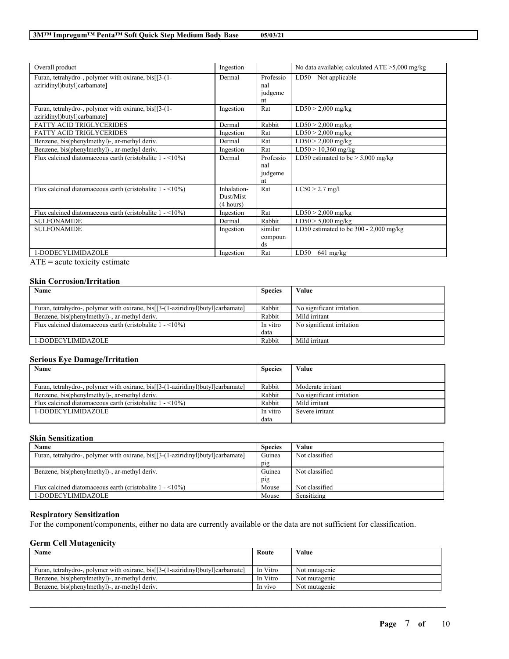| Overall product                                                                     | Ingestion                             |                                   | No data available; calculated $ATE > 5,000$ mg/kg |
|-------------------------------------------------------------------------------------|---------------------------------------|-----------------------------------|---------------------------------------------------|
| Furan, tetrahydro-, polymer with oxirane, bis[[3-(1-<br>aziridinyl)butyl]carbamate] | Dermal                                | Professio<br>nal<br>judgeme<br>nt | LD50<br>Not applicable                            |
| Furan, tetrahydro-, polymer with oxirane, bis[[3-(1-<br>aziridinyl)butyl]carbamate] | Ingestion                             | Rat                               | $LD50 > 2,000$ mg/kg                              |
| <b>FATTY ACID TRIGLYCERIDES</b>                                                     | Dermal                                | Rabbit                            | $LD50 > 2,000$ mg/kg                              |
| <b>FATTY ACID TRIGLYCERIDES</b>                                                     | Ingestion                             | Rat                               | $LD50 > 2,000$ mg/kg                              |
| Benzene, bis(phenylmethyl)-, ar-methyl deriv.                                       | Dermal                                | Rat                               | $LD50 > 2,000$ mg/kg                              |
| Benzene, bis(phenylmethyl)-, ar-methyl deriv.                                       | Ingestion                             | Rat                               | $LD50 > 10,360$ mg/kg                             |
| Flux calcined diatomaceous earth (cristobalite $1 - \langle 10\% \rangle$ )         | Dermal                                | Professio<br>nal<br>judgeme<br>nt | LD50 estimated to be $> 5,000$ mg/kg              |
| Flux calcined diatomaceous earth (cristobalite $1 - 10\%$ )                         | Inhalation-<br>Dust/Mist<br>(4 hours) | Rat                               | $LC50 > 2.7$ mg/l                                 |
| Flux calcined diatomaceous earth (cristobalite $1 - \langle 10\% \rangle$ )         | Ingestion                             | Rat                               | $LD50 > 2,000$ mg/kg                              |
| <b>SULFONAMIDE</b>                                                                  | Dermal                                | Rabbit                            | $LD50 > 5,000$ mg/kg                              |
| <b>SULFONAMIDE</b>                                                                  | Ingestion                             | similar<br>compoun<br>ds          | LD50 estimated to be $300 - 2,000$ mg/kg          |
| 1-DODECYLIMIDAZOLE                                                                  | Ingestion                             | Rat                               | LD50<br>$641$ mg/kg                               |

ATE = acute toxicity estimate

### **Skin Corrosion/Irritation**

| <b>Name</b><br><b>Species</b>                                                   |          | Value                     |
|---------------------------------------------------------------------------------|----------|---------------------------|
|                                                                                 |          |                           |
| Furan, tetrahydro-, polymer with oxirane, bis[[3-(1-aziridinyl)butyl]carbamate] | Rabbit   | No significant irritation |
| Benzene, bis(phenylmethyl)-, ar-methyl deriv.                                   | Rabbit   | Mild irritant             |
| Flux calcined diatomaceous earth (cristobalite $1 - \langle 10\% \rangle$ )     | In vitro | No significant irritation |
|                                                                                 | data     |                           |
| 1-DODECYLIMIDAZOLE                                                              | Rabbit   | Mild irritant             |

### **Serious Eye Damage/Irritation**

| Name                                                                            | <b>Species</b> | Value                     |
|---------------------------------------------------------------------------------|----------------|---------------------------|
|                                                                                 |                |                           |
| Furan, tetrahydro-, polymer with oxirane, bis[[3-(1-aziridinyl)butyl]carbamate] | Rabbit         | Moderate irritant         |
| Benzene, bis(phenylmethyl)-, ar-methyl deriv.                                   | Rabbit         | No significant irritation |
| Flux calcined diatomaceous earth (cristobalite $1 - \langle 10\% \rangle$ )     | Rabbit         | Mild irritant             |
| 1-DODECYLIMIDAZOLE                                                              | In vitro       | Severe irritant           |
|                                                                                 | data           |                           |

#### **Skin Sensitization**

| Name                                                                            | <b>Species</b> | Value          |
|---------------------------------------------------------------------------------|----------------|----------------|
| Furan, tetrahydro-, polymer with oxirane, bis[[3-(1-aziridinyl)butyl]carbamate] | Guinea         | Not classified |
|                                                                                 | pig            |                |
| Benzene, bis(phenylmethyl)-, ar-methyl deriv.                                   | Guinea         | Not classified |
|                                                                                 | pig            |                |
| Flux calcined diatomaceous earth (cristobalite $1 - \langle 10\% \rangle$ )     | Mouse          | Not classified |
| 1-DODECYLIMIDAZOLE                                                              | Mouse          | Sensitizing    |

### **Respiratory Sensitization**

For the component/components, either no data are currently available or the data are not sufficient for classification.

### **Germ Cell Mutagenicity**

| Name                                                                            | Route    | Value         |
|---------------------------------------------------------------------------------|----------|---------------|
|                                                                                 |          |               |
| Furan, tetrahydro-, polymer with oxirane, bis[[3-(1-aziridinyl)butyl]carbamate] | In Vitro | Not mutagenic |
| Benzene, bis(phenylmethyl)-, ar-methyl deriv.                                   | In Vitro | Not mutagenic |
| Benzene, bis(phenylmethyl)-, ar-methyl deriv.                                   | In vivo  | Not mutagenic |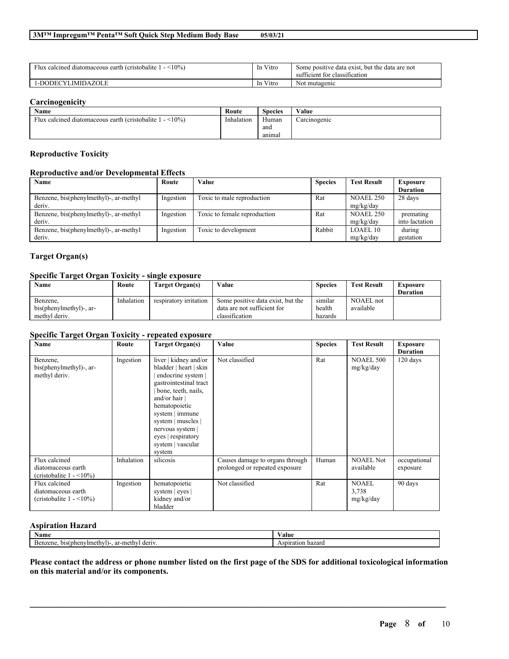| $\rightarrow$<br>$(10\%)$<br>Flux calcined diatomaceous earth (cristobalite) | Vitro<br><sub>1</sub> n       | Some positive data exist, but the data are not<br>sufficient for classification |
|------------------------------------------------------------------------------|-------------------------------|---------------------------------------------------------------------------------|
| 1-DODECYLIMIDAZOLE                                                           | $\mathbf{v}$<br>1n<br>. Vitro | Not mutagenic                                                                   |

# **Carcinogenicity**

| Name                                                            | Route      | Species | Value        |
|-----------------------------------------------------------------|------------|---------|--------------|
| Flux calcined diatomaceous earth (cristobalite 1<br>$1 - 10\%)$ | Inhalation | Human   | Carcinogenic |
|                                                                 |            | and     |              |
|                                                                 |            | anımal  |              |

### **Reproductive Toxicity**

### **Reproductive and/or Developmental Effects**

| Name                                             | Route     | Value                        | <b>Species</b> | <b>Test Result</b>            | <b>Exposure</b><br><b>Duration</b> |
|--------------------------------------------------|-----------|------------------------------|----------------|-------------------------------|------------------------------------|
| Benzene, bis(phenylmethyl)-, ar-methyl<br>deriv. | Ingestion | Toxic to male reproduction   | Rat            | <b>NOAEL 250</b><br>mg/kg/day | 28 days                            |
| Benzene, bis(phenylmethyl)-, ar-methyl<br>deriv. | Ingestion | Toxic to female reproduction | Rat            | <b>NOAEL 250</b><br>mg/kg/day | premating<br>into lactation        |
| Benzene, bis(phenylmethyl)-, ar-methyl<br>deriv. | Ingestion | Toxic to development         | Rabbit         | <b>LOAEL 10</b><br>mg/kg/day  | during<br>gestation                |

# **Target Organ(s)**

# **Specific Target Organ Toxicity - single exposure**

| Name                    | Route      | Target Organ(s)        | Value                             | <b>Species</b> | <b>Test Result</b> | Exposure<br><b>Duration</b> |
|-------------------------|------------|------------------------|-----------------------------------|----------------|--------------------|-----------------------------|
| Benzene.                | Inhalation | respiratory irritation | Some positive data exist, but the | similar        | NOAEL not          |                             |
| bis(phenylmethyl)-, ar- |            |                        | data are not sufficient for       | health         | available          |                             |
| methyl deriv.           |            |                        | classification                    | hazards        |                    |                             |

# **Specific Target Organ Toxicity - repeated exposure**

| <b>Name</b>                                                                       | Route      | <b>Target Organ(s)</b>                                                                                                                                                                                                                                                       | Value                                                             | <b>Species</b> | <b>Test Result</b>                 | <b>Exposure</b>             |
|-----------------------------------------------------------------------------------|------------|------------------------------------------------------------------------------------------------------------------------------------------------------------------------------------------------------------------------------------------------------------------------------|-------------------------------------------------------------------|----------------|------------------------------------|-----------------------------|
| Benzene,<br>bis(phenylmethyl)-, ar-<br>methyl deriv.                              | Ingestion  | liver   kidney and/or<br>bladder   heart   skin<br>endocrine system  <br>gastrointestinal tract<br>bone, teeth, nails,<br>and/or hair $ $<br>hematopoietic<br>system   immune<br>system   muscles  <br>nervous system  <br>eyes   respiratory<br>system   vascular<br>system | Not classified                                                    | Rat            | <b>NOAEL 500</b><br>mg/kg/day      | <b>Duration</b><br>120 days |
| Flux calcined<br>diatomaceous earth<br>(cristobalite $1 - \langle 10\% \rangle$ ) | Inhalation | silicosis                                                                                                                                                                                                                                                                    | Causes damage to organs through<br>prolonged or repeated exposure | Human          | <b>NOAEL Not</b><br>available      | occupational<br>exposure    |
| Flux calcined<br>diatomaceous earth<br>(cristobalite $1 - \langle 10\% \rangle$ ) | Ingestion  | hematopoietic<br>system $ $ eyes $ $<br>kidney and/or<br>bladder                                                                                                                                                                                                             | Not classified                                                    | Rat            | <b>NOAEL</b><br>3,738<br>mg/kg/day | 90 days                     |

### **Aspiration Hazard**

| $\sim$<br>Name                                                     | 'alue                             |
|--------------------------------------------------------------------|-----------------------------------|
| . ar-methy'<br>ızene<br>' deriv<br>(phenylmeth<br>bis.<br>Rom<br>. | hazaro :<br>$\alpha$ n<br>зопаноп |

Please contact the address or phone number listed on the first page of the SDS for additional toxicological information **on this material and/or its components.**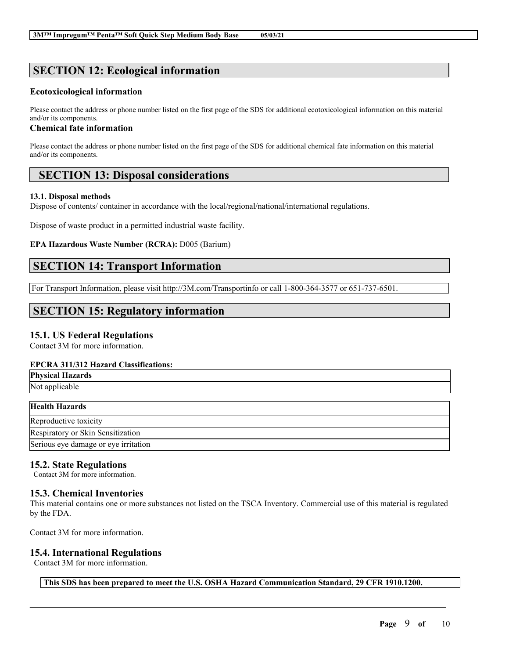# **SECTION 12: Ecological information**

# **Ecotoxicological information**

Please contact the address or phone number listed on the first page of the SDS for additional ecotoxicological information on this material and/or its components.

# **Chemical fate information**

Please contact the address or phone number listed on the first page of the SDS for additional chemical fate information on this material and/or its components.

# **SECTION 13: Disposal considerations**

# **13.1. Disposal methods**

Dispose of contents/ container in accordance with the local/regional/national/international regulations.

Dispose of waste product in a permitted industrial waste facility.

**EPA Hazardous Waste Number (RCRA):** D005 (Barium)

# **SECTION 14: Transport Information**

For Transport Information, please visit http://3M.com/Transportinfo or call 1-800-364-3577 or 651-737-6501.

# **SECTION 15: Regulatory information**

# **15.1. US Federal Regulations**

Contact 3M for more information.

# **EPCRA 311/312 Hazard Classifications:**

| ЕТ СКА ЭТПЭТА Палага Ставянкация.    |  |
|--------------------------------------|--|
| <b>Physical Hazards</b>              |  |
| Not applicable                       |  |
|                                      |  |
| <b>Health Hazards</b>                |  |
| Reproductive toxicity                |  |
| Respiratory or Skin Sensitization    |  |
| Serious eye damage or eye irritation |  |
|                                      |  |

# **15.2. State Regulations**

Contact 3M for more information.

# **15.3. Chemical Inventories**

This material contains one or more substances not listed on the TSCA Inventory. Commercial use of this material is regulated by the FDA.

Contact 3M for more information.

# **15.4. International Regulations**

Contact 3M for more information.

**This SDS has been prepared to meet the U.S. OSHA Hazard Communication Standard, 29 CFR 1910.1200.**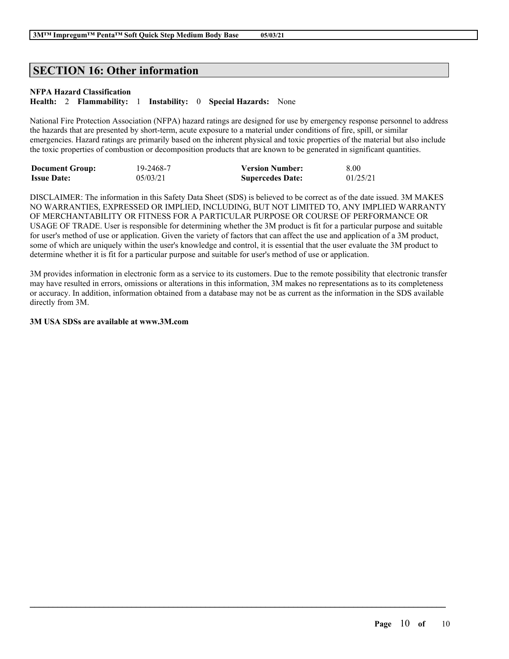# **SECTION 16: Other information**

### **NFPA Hazard Classification**

**Health:** 2 **Flammability:** 1 **Instability:** 0 **Special Hazards:** None

National Fire Protection Association (NFPA) hazard ratings are designed for use by emergency response personnel to address the hazards that are presented by short-term, acute exposure to a material under conditions of fire, spill, or similar emergencies. Hazard ratings are primarily based on the inherent physical and toxic properties of the material but also include the toxic properties of combustion or decomposition products that are known to be generated in significant quantities.

| <b>Document Group:</b> | 19-2468-7 | <b>Version Number:</b>  | 8.00     |
|------------------------|-----------|-------------------------|----------|
| <b>Issue Date:</b>     | 05/03/21  | <b>Supercedes Date:</b> | 01/25/21 |

DISCLAIMER: The information in this Safety Data Sheet (SDS) is believed to be correct as of the date issued. 3M MAKES NO WARRANTIES, EXPRESSED OR IMPLIED, INCLUDING, BUT NOT LIMITED TO, ANY IMPLIED WARRANTY OF MERCHANTABILITY OR FITNESS FOR A PARTICULAR PURPOSE OR COURSE OF PERFORMANCE OR USAGE OF TRADE. User is responsible for determining whether the 3M product is fit for a particular purpose and suitable for user's method of use or application. Given the variety of factors that can affect the use and application of a 3M product, some of which are uniquely within the user's knowledge and control, it is essential that the user evaluate the 3M product to determine whether it is fit for a particular purpose and suitable for user's method of use or application.

3M provides information in electronic form as a service to its customers. Due to the remote possibility that electronic transfer may have resulted in errors, omissions or alterations in this information, 3M makes no representations as to its completeness or accuracy. In addition, information obtained from a database may not be as current as the information in the SDS available directly from 3M.

 $\mathcal{L}_\mathcal{L} = \mathcal{L}_\mathcal{L} = \mathcal{L}_\mathcal{L} = \mathcal{L}_\mathcal{L} = \mathcal{L}_\mathcal{L} = \mathcal{L}_\mathcal{L} = \mathcal{L}_\mathcal{L} = \mathcal{L}_\mathcal{L} = \mathcal{L}_\mathcal{L} = \mathcal{L}_\mathcal{L} = \mathcal{L}_\mathcal{L} = \mathcal{L}_\mathcal{L} = \mathcal{L}_\mathcal{L} = \mathcal{L}_\mathcal{L} = \mathcal{L}_\mathcal{L} = \mathcal{L}_\mathcal{L} = \mathcal{L}_\mathcal{L}$ 

### **3M USA SDSs are available at www.3M.com**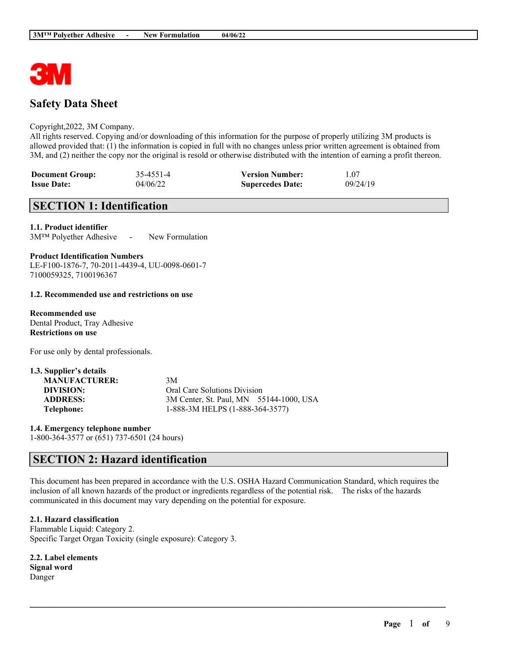

# **Safety Data Sheet**

#### Copyright,2022, 3M Company.

All rights reserved. Copying and/or downloading of this information for the purpose of properly utilizing 3M products is allowed provided that: (1) the information is copied in full with no changes unless prior written agreement is obtained from 3M, and (2) neither the copy nor the original is resold or otherwise distributed with the intention of earning a profit thereon.

| <b>Document Group:</b> | 35-4551-4 | <b>Version Number:</b>  | 1.07     |
|------------------------|-----------|-------------------------|----------|
| <b>Issue Date:</b>     | 04/06/22  | <b>Supercedes Date:</b> | 09/24/19 |

# **SECTION 1: Identification**

**1.1. Product identifier**

3M™ Polyether Adhesive - New Formulation

**Product Identification Numbers**

LE-F100-1876-7, 70-2011-4439-4, UU-0098-0601-7 7100059325, 7100196367

#### **1.2. Recommended use and restrictions on use**

**Recommended use** Dental Product, Tray Adhesive **Restrictions on use**

**1.3. Supplier's details**

For use only by dental professionals.

| 1.3. Supplier's details |                                         |
|-------------------------|-----------------------------------------|
| <b>MANUFACTURER:</b>    | 3M                                      |
| DIVISION:               | Oral Care Solutions Division            |
| <b>ADDRESS:</b>         | 3M Center, St. Paul, MN 55144-1000, USA |
| Telephone:              | 1-888-3M HELPS (1-888-364-3577)         |

**1.4. Emergency telephone number** 1-800-364-3577 or (651) 737-6501 (24 hours)

# **SECTION 2: Hazard identification**

This document has been prepared in accordance with the U.S. OSHA Hazard Communication Standard, which requires the inclusion of all known hazards of the product or ingredients regardless of the potential risk. The risks of the hazards communicated in this document may vary depending on the potential for exposure.

 $\mathcal{L}_\mathcal{L} = \mathcal{L}_\mathcal{L} = \mathcal{L}_\mathcal{L} = \mathcal{L}_\mathcal{L} = \mathcal{L}_\mathcal{L} = \mathcal{L}_\mathcal{L} = \mathcal{L}_\mathcal{L} = \mathcal{L}_\mathcal{L} = \mathcal{L}_\mathcal{L} = \mathcal{L}_\mathcal{L} = \mathcal{L}_\mathcal{L} = \mathcal{L}_\mathcal{L} = \mathcal{L}_\mathcal{L} = \mathcal{L}_\mathcal{L} = \mathcal{L}_\mathcal{L} = \mathcal{L}_\mathcal{L} = \mathcal{L}_\mathcal{L}$ 

**2.1. Hazard classification** Flammable Liquid: Category 2. Specific Target Organ Toxicity (single exposure): Category 3.

**2.2. Label elements Signal word** Danger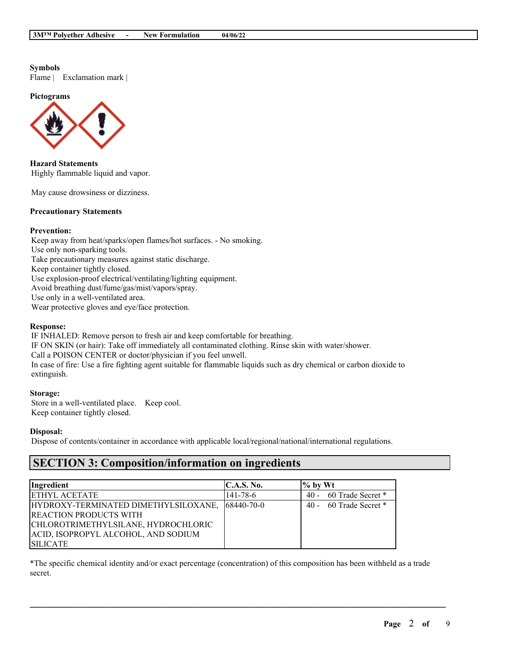**Symbols** Flame | Exclamation mark |

**Pictograms**



**Hazard Statements** Highly flammable liquid and vapor.

May cause drowsiness or dizziness.

### **Precautionary Statements**

#### **Prevention:**

Keep away from heat/sparks/open flames/hot surfaces. - No smoking. Use only non-sparking tools. Take precautionary measures against static discharge. Keep container tightly closed. Use explosion-proof electrical/ventilating/lighting equipment. Avoid breathing dust/fume/gas/mist/vapors/spray. Use only in a well-ventilated area. Wear protective gloves and eye/face protection.

# **Response:**

IF INHALED: Remove person to fresh air and keep comfortable for breathing. IF ON SKIN (or hair): Take off immediately all contaminated clothing. Rinse skin with water/shower. Call a POISON CENTER or doctor/physician if you feel unwell. In case of fire: Use a fire fighting agent suitable for flammable liquids such as dry chemical or carbon dioxide to extinguish.

#### **Storage:**

Store in a well-ventilated place. Keep cool. Keep container tightly closed.

### **Disposal:**

Dispose of contents/container in accordance with applicable local/regional/national/international regulations.

# **SECTION 3: Composition/information on ingredients**

| Ingredient                           | C.A.S. No.        | $\%$ by Wt                  |
|--------------------------------------|-------------------|-----------------------------|
| <b>ETHYL ACETATE</b>                 | 141-78-6          | 60 Trade Secret *<br>$40 -$ |
| HYDROXY-TERMINATED DIMETHYLSILOXANE, | $168440 - 70 - 0$ | 40 - 60 Trade Secret *      |
| <b>REACTION PRODUCTS WITH</b>        |                   |                             |
| CHLOROTRIMETHYLSILANE, HYDROCHLORIC  |                   |                             |
| ACID, ISOPROPYL ALCOHOL, AND SODIUM  |                   |                             |
| <b>ISILICATE</b>                     |                   |                             |

\*The specific chemical identity and/or exact percentage (concentration) of this composition has been withheld as a trade secret.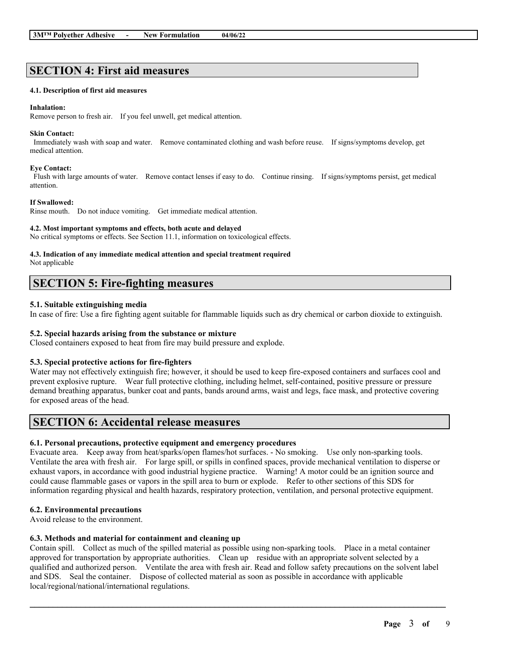# **SECTION 4: First aid measures**

#### **4.1. Description of first aid measures**

#### **Inhalation:**

Remove person to fresh air. If you feel unwell, get medical attention.

#### **Skin Contact:**

Immediately wash with soap and water. Remove contaminated clothing and wash before reuse. If signs/symptoms develop, get medical attention.

#### **Eye Contact:**

Flush with large amounts of water. Remove contact lenses if easy to do. Continue rinsing. If signs/symptoms persist, get medical attention.

#### **If Swallowed:**

Rinse mouth. Do not induce vomiting. Get immediate medical attention.

#### **4.2. Most important symptoms and effects, both acute and delayed**

No critical symptoms or effects. See Section 11.1, information on toxicological effects.

# **4.3. Indication of any immediate medical attention and special treatment required**

Not applicable

# **SECTION 5: Fire-fighting measures**

### **5.1. Suitable extinguishing media**

In case of fire: Use a fire fighting agent suitable for flammable liquids such as dry chemical or carbon dioxide to extinguish.

### **5.2. Special hazards arising from the substance or mixture**

Closed containers exposed to heat from fire may build pressure and explode.

#### **5.3. Special protective actions for fire-fighters**

Water may not effectively extinguish fire; however, it should be used to keep fire-exposed containers and surfaces cool and prevent explosive rupture. Wear full protective clothing, including helmet, self-contained, positive pressure or pressure demand breathing apparatus, bunker coat and pants, bands around arms, waist and legs, face mask, and protective covering for exposed areas of the head.

# **SECTION 6: Accidental release measures**

#### **6.1. Personal precautions, protective equipment and emergency procedures**

Evacuate area. Keep away from heat/sparks/open flames/hot surfaces. - No smoking. Use only non-sparking tools. Ventilate the area with fresh air. For large spill, or spills in confined spaces, provide mechanical ventilation to disperse or exhaust vapors, in accordance with good industrial hygiene practice. Warning! A motor could be an ignition source and could cause flammable gases or vapors in the spill area to burn or explode. Refer to other sections of this SDS for information regarding physical and health hazards, respiratory protection, ventilation, and personal protective equipment.

# **6.2. Environmental precautions**

Avoid release to the environment.

# **6.3. Methods and material for containment and cleaning up**

Contain spill. Collect as much of the spilled material as possible using non-sparking tools. Place in a metal container approved for transportation by appropriate authorities. Clean up residue with an appropriate solvent selected by a qualified and authorized person. Ventilate the area with fresh air. Read and follow safety precautions on the solvent label and SDS. Seal the container. Dispose of collected material as soon as possible in accordance with applicable local/regional/national/international regulations.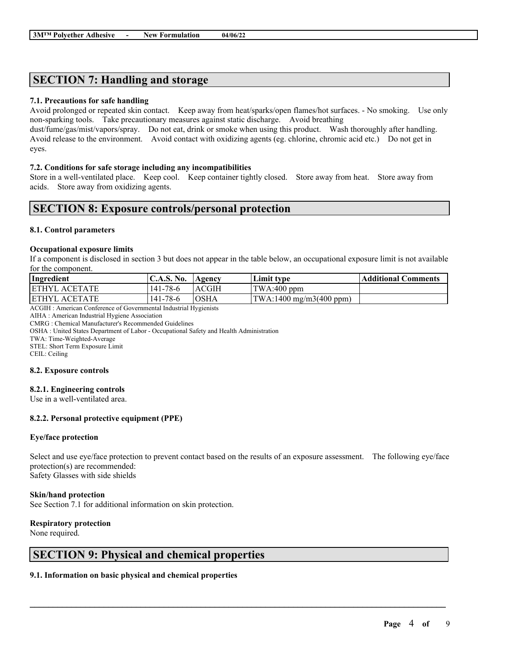# **SECTION 7: Handling and storage**

#### **7.1. Precautions for safe handling**

Avoid prolonged or repeated skin contact. Keep away from heat/sparks/open flames/hot surfaces. - No smoking. Use only non-sparking tools. Take precautionary measures against static discharge. Avoid breathing

dust/fume/gas/mist/vapors/spray. Do not eat, drink or smoke when using this product. Wash thoroughly after handling. Avoid release to the environment. Avoid contact with oxidizing agents (eg. chlorine, chromic acid etc.) Do not get in eyes.

#### **7.2. Conditions for safe storage including any incompatibilities**

Store in a well-ventilated place. Keep cool. Keep container tightly closed. Store away from heat. Store away from acids. Store away from oxidizing agents.

# **SECTION 8: Exposure controls/personal protection**

#### **8.1. Control parameters**

#### **Occupational exposure limits**

If a component is disclosed in section 3 but does not appear in the table below, an occupational exposure limit is not available for the component.

| Ingredient            | <b>C.A.S. No.</b> | Agency | Limit type                                       | Additional Comments |
|-----------------------|-------------------|--------|--------------------------------------------------|---------------------|
| <b>IETHYL ACETATE</b> | 141-78-6          | ACGIH  | $TWA:400$ ppm                                    |                     |
| <b>IETHYL ACETATE</b> | 141-78-6          | IOSHA  | $\text{TWA}:1400 \text{ mg/m}3(400 \text{ ppm})$ |                     |

ACGIH : American Conference of Governmental Industrial Hygienists

AIHA : American Industrial Hygiene Association

CMRG : Chemical Manufacturer's Recommended Guidelines

OSHA : United States Department of Labor - Occupational Safety and Health Administration

TWA: Time-Weighted-Average

STEL: Short Term Exposure Limit

CEIL: Ceiling

#### **8.2. Exposure controls**

#### **8.2.1. Engineering controls**

Use in a well-ventilated area.

#### **8.2.2. Personal protective equipment (PPE)**

#### **Eye/face protection**

Select and use eye/face protection to prevent contact based on the results of an exposure assessment. The following eye/face protection(s) are recommended: Safety Glasses with side shields

 $\mathcal{L}_\mathcal{L} = \mathcal{L}_\mathcal{L} = \mathcal{L}_\mathcal{L} = \mathcal{L}_\mathcal{L} = \mathcal{L}_\mathcal{L} = \mathcal{L}_\mathcal{L} = \mathcal{L}_\mathcal{L} = \mathcal{L}_\mathcal{L} = \mathcal{L}_\mathcal{L} = \mathcal{L}_\mathcal{L} = \mathcal{L}_\mathcal{L} = \mathcal{L}_\mathcal{L} = \mathcal{L}_\mathcal{L} = \mathcal{L}_\mathcal{L} = \mathcal{L}_\mathcal{L} = \mathcal{L}_\mathcal{L} = \mathcal{L}_\mathcal{L}$ 

### **Skin/hand protection**

See Section 7.1 for additional information on skin protection.

#### **Respiratory protection**

None required.

# **SECTION 9: Physical and chemical properties**

### **9.1. Information on basic physical and chemical properties**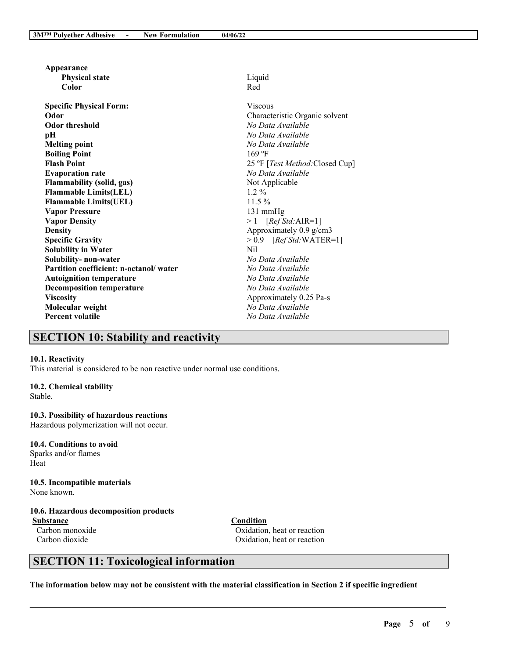| Appearance                             |                                 |
|----------------------------------------|---------------------------------|
| <b>Physical state</b>                  | Liquid                          |
| Color                                  | Red                             |
| <b>Specific Physical Form:</b>         | <b>Viscous</b>                  |
| Odor                                   | Characteristic Organic solvent  |
| Odor threshold                         | No Data Available               |
| pН                                     | No Data Available               |
| <b>Melting point</b>                   | No Data Available               |
| <b>Boiling Point</b>                   | $169$ °F                        |
| <b>Flash Point</b>                     | 25 °F [Test Method: Closed Cup] |
| <b>Evaporation rate</b>                | No Data Available               |
| <b>Flammability (solid, gas)</b>       | Not Applicable                  |
| <b>Flammable Limits(LEL)</b>           | $1.2\%$                         |
| <b>Flammable Limits(UEL)</b>           | $11.5\%$                        |
| <b>Vapor Pressure</b>                  | $131 \text{ mmHg}$              |
| <b>Vapor Density</b>                   | $>1$ [Ref Std:AIR=1]            |
| Density                                | Approximately 0.9 g/cm3         |
| <b>Specific Gravity</b>                | $> 0.9$ [Ref Std:WATER=1]       |
| <b>Solubility in Water</b>             | Nil                             |
| Solubility- non-water                  | No Data Available               |
| Partition coefficient: n-octanol/water | No Data Available               |
| <b>Autoignition temperature</b>        | No Data Available               |
| <b>Decomposition temperature</b>       | No Data Available               |
| <b>Viscosity</b>                       | Approximately 0.25 Pa-s         |
| Molecular weight                       | No Data Available               |
| Percent volatile                       | No Data Available               |
|                                        |                                 |

# **SECTION 10: Stability and reactivity**

#### **10.1. Reactivity**

This material is considered to be non reactive under normal use conditions.

#### **10.2. Chemical stability**

Stable.

#### **10.3. Possibility of hazardous reactions**

Hazardous polymerization will not occur.

### **10.4. Conditions to avoid** Sparks and/or flames

Heat

# **10.5. Incompatible materials**

None known.

# **10.6. Hazardous decomposition products**

**Substance Condition**

Carbon monoxide Oxidation, heat or reaction Carbon dioxide Oxidation, heat or reaction

# **SECTION 11: Toxicological information**

The information below may not be consistent with the material classification in Section 2 if specific ingredient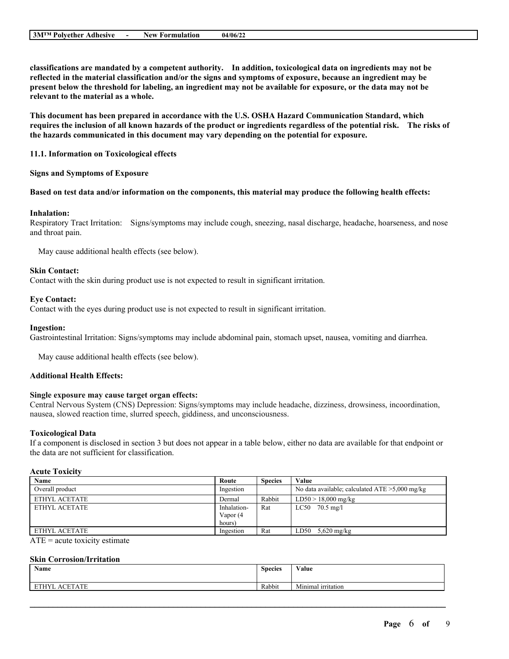**classifications are mandated by a competent authority. In addition, toxicological data on ingredients may not be** reflected in the material classification and/or the signs and symptoms of exposure, because an ingredient may be present below the threshold for labeling, an ingredient may not be available for exposure, or the data may not be **relevant to the material as a whole.**

**This document has been prepared in accordance with the U.S. OSHA Hazard Communication Standard, which** requires the inclusion of all known hazards of the product or ingredients regardless of the potential risk. The risks of **the hazards communicated in this document may vary depending on the potential for exposure.**

#### **11.1. Information on Toxicological effects**

#### **Signs and Symptoms of Exposure**

#### Based on test data and/or information on the components, this material may produce the following health effects:

#### **Inhalation:**

Respiratory Tract Irritation: Signs/symptoms may include cough, sneezing, nasal discharge, headache, hoarseness, and nose and throat pain.

May cause additional health effects (see below).

#### **Skin Contact:**

Contact with the skin during product use is not expected to result in significant irritation.

#### **Eye Contact:**

Contact with the eyes during product use is not expected to result in significant irritation.

#### **Ingestion:**

Gastrointestinal Irritation: Signs/symptoms may include abdominal pain, stomach upset, nausea, vomiting and diarrhea.

May cause additional health effects (see below).

# **Additional Health Effects:**

#### **Single exposure may cause target organ effects:**

Central Nervous System (CNS) Depression: Signs/symptoms may include headache, dizziness, drowsiness, incoordination, nausea, slowed reaction time, slurred speech, giddiness, and unconsciousness.

#### **Toxicological Data**

If a component is disclosed in section 3 but does not appear in a table below, either no data are available for that endpoint or the data are not sufficient for classification.

#### **Acute Toxicity**

| Name                                                                                                                                                                                                                                                                                                                   | Route       | <b>Species</b> | Value                                             |
|------------------------------------------------------------------------------------------------------------------------------------------------------------------------------------------------------------------------------------------------------------------------------------------------------------------------|-------------|----------------|---------------------------------------------------|
| Overall product                                                                                                                                                                                                                                                                                                        | Ingestion   |                | No data available; calculated $ATE > 5,000$ mg/kg |
| ETHYL ACETATE                                                                                                                                                                                                                                                                                                          | Dermal      | Rabbit         | $LD50 > 18,000$ mg/kg                             |
| ETHYL ACETATE                                                                                                                                                                                                                                                                                                          | Inhalation- | Rat            | $LC50$ 70.5 mg/l                                  |
|                                                                                                                                                                                                                                                                                                                        | Vapor (4    |                |                                                   |
|                                                                                                                                                                                                                                                                                                                        | hours)      |                |                                                   |
| ETHYL ACETATE                                                                                                                                                                                                                                                                                                          | Ingestion   | Rat            | $5,620 \text{ mg/kg}$<br>LD50                     |
| $\overline{a}$ , and $\overline{a}$ , and $\overline{a}$ , and $\overline{a}$ , and $\overline{a}$ , and $\overline{a}$ , and $\overline{a}$ , and $\overline{a}$ , and $\overline{a}$ , and $\overline{a}$ , and $\overline{a}$ , and $\overline{a}$ , and $\overline{a}$ , and $\overline{a}$ , and $\overline{a}$ , |             |                |                                                   |

 $ATE = acute$  toxicity estimate

#### **Skin Corrosion/Irritation**

| Name                 | <b>Species</b> | <b>WY 3</b><br>Value |
|----------------------|----------------|----------------------|
| <b>ETHYL ACETATE</b> | Rabbit         | Minimal irritation   |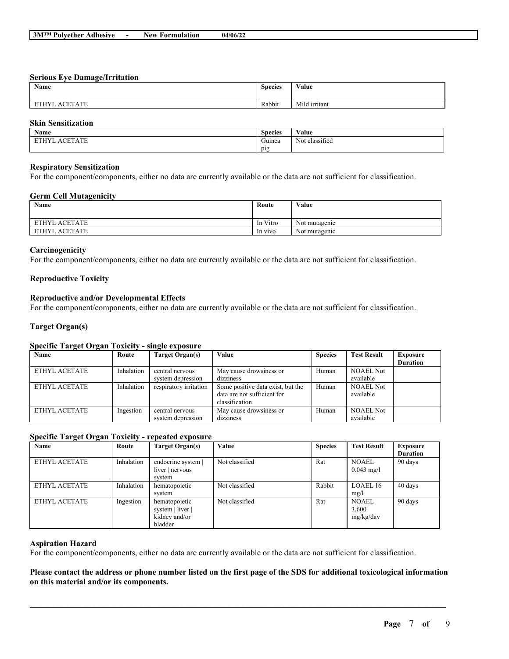#### **Serious Eye Damage/Irritation**

| Name                    | <b>Species</b> | Value         |
|-------------------------|----------------|---------------|
| <b>ACETATE</b><br>ETHYL | Rabbit         | Mild irritant |

### **Skin Sensitization**

| Name                                                                                           | $\sim$<br><b>Species</b> | $\mathbf{v}$ $\mathbf{v}$<br>⁄ alue       |
|------------------------------------------------------------------------------------------------|--------------------------|-------------------------------------------|
| $\sim$ $\sim$ $\sim$<br>$\sim$ $\sim$<br><b>DOUTLY</b><br>$\mathbf{a}$<br>-<br>$\Delta$<br>┒⊥⊥ | $\sim$<br>Guinea         | $\sim$<br>$\sim$ $\sim$<br>Not classified |
|                                                                                                | $p_1g$<br>. .            |                                           |

#### **Respiratory Sensitization**

For the component/components, either no data are currently available or the data are not sufficient for classification.

#### **Germ Cell Mutagenicity**

| <b>Name</b>              | Route    | Value         |
|--------------------------|----------|---------------|
|                          |          |               |
| ETHYL ACETATE            | In Vitro | Not mutagenic |
| <b>ACETATE</b><br>ETHYL. | In vivo  | Not mutagenic |

#### **Carcinogenicity**

For the component/components, either no data are currently available or the data are not sufficient for classification.

### **Reproductive Toxicity**

#### **Reproductive and/or Developmental Effects**

For the component/components, either no data are currently available or the data are not sufficient for classification.

#### **Target Organ(s)**

### **Specific Target Organ Toxicity - single exposure**

| Name          | Route      | Target Organ(s)        | Value                             | <b>Species</b> | <b>Test Result</b> | <b>Exposure</b> |
|---------------|------------|------------------------|-----------------------------------|----------------|--------------------|-----------------|
|               |            |                        |                                   |                |                    | <b>Duration</b> |
| ETHYL ACETATE | Inhalation | central nervous        | May cause drowsiness or           | Human          | <b>NOAEL Not</b>   |                 |
|               |            | system depression      | dizziness                         |                | available          |                 |
| ETHYL ACETATE | Inhalation | respiratory irritation | Some positive data exist, but the | Human          | <b>NOAEL Not</b>   |                 |
|               |            |                        | data are not sufficient for       |                | available          |                 |
|               |            |                        | classification                    |                |                    |                 |
| ETHYL ACETATE | Ingestion  | central nervous        | May cause drowsiness or           | Human          | <b>NOAEL Not</b>   |                 |
|               |            | system depression      | dizziness                         |                | available          |                 |

#### **Specific Target Organ Toxicity - repeated exposure**

| Name          | Route      | Target Organ(s)                                               | Value          | <b>Species</b> | <b>Test Result</b>                 | <b>Exposure</b><br><b>Duration</b> |
|---------------|------------|---------------------------------------------------------------|----------------|----------------|------------------------------------|------------------------------------|
| ETHYL ACETATE | Inhalation | endocrine system<br>liver   nervous<br>system                 | Not classified | Rat            | <b>NOAEL</b><br>$0.043$ mg/l       | 90 days                            |
| ETHYL ACETATE | Inhalation | hematopoietic<br>system                                       | Not classified | Rabbit         | LOAEL 16<br>mg/l                   | 40 days                            |
| ETHYL ACETATE | Ingestion  | hematopoietic<br>system   liver  <br>kidney and/or<br>bladder | Not classified | Rat            | <b>NOAEL</b><br>3,600<br>mg/kg/day | 90 days                            |

#### **Aspiration Hazard**

For the component/components, either no data are currently available or the data are not sufficient for classification.

Please contact the address or phone number listed on the first page of the SDS for additional toxicological information **on this material and/or its components.**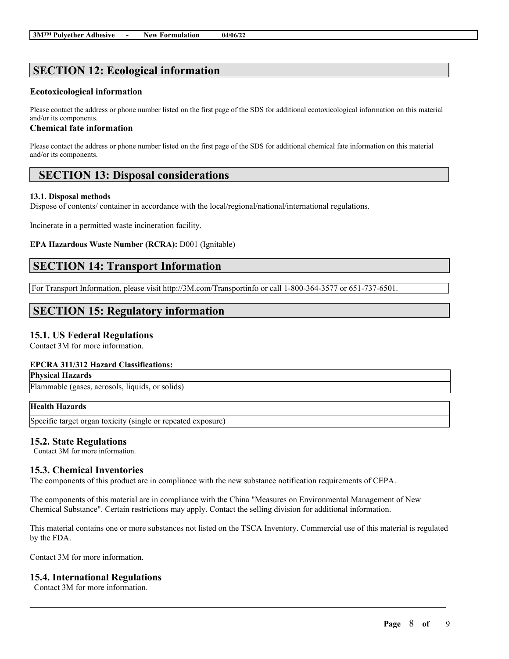# **SECTION 12: Ecological information**

#### **Ecotoxicological information**

Please contact the address or phone number listed on the first page of the SDS for additional ecotoxicological information on this material and/or its components.

### **Chemical fate information**

Please contact the address or phone number listed on the first page of the SDS for additional chemical fate information on this material and/or its components.

# **SECTION 13: Disposal considerations**

#### **13.1. Disposal methods**

Dispose of contents/ container in accordance with the local/regional/national/international regulations.

Incinerate in a permitted waste incineration facility.

#### **EPA Hazardous Waste Number (RCRA):** D001 (Ignitable)

# **SECTION 14: Transport Information**

For Transport Information, please visit http://3M.com/Transportinfo or call 1-800-364-3577 or 651-737-6501.

# **SECTION 15: Regulatory information**

# **15.1. US Federal Regulations**

Contact 3M for more information.

#### **EPCRA 311/312 Hazard Classifications:**

**Physical Hazards**

Flammable (gases, aerosols, liquids, or solids)

# **Health Hazards**

Specific target organ toxicity (single or repeated exposure)

# **15.2. State Regulations**

Contact 3M for more information.

# **15.3. Chemical Inventories**

The components of this product are in compliance with the new substance notification requirements of CEPA.

The components of this material are in compliance with the China "Measures on Environmental Management of New Chemical Substance". Certain restrictions may apply. Contact the selling division for additional information.

This material contains one or more substances not listed on the TSCA Inventory. Commercial use of this material is regulated by the FDA.

 $\mathcal{L}_\mathcal{L} = \mathcal{L}_\mathcal{L} = \mathcal{L}_\mathcal{L} = \mathcal{L}_\mathcal{L} = \mathcal{L}_\mathcal{L} = \mathcal{L}_\mathcal{L} = \mathcal{L}_\mathcal{L} = \mathcal{L}_\mathcal{L} = \mathcal{L}_\mathcal{L} = \mathcal{L}_\mathcal{L} = \mathcal{L}_\mathcal{L} = \mathcal{L}_\mathcal{L} = \mathcal{L}_\mathcal{L} = \mathcal{L}_\mathcal{L} = \mathcal{L}_\mathcal{L} = \mathcal{L}_\mathcal{L} = \mathcal{L}_\mathcal{L}$ 

Contact 3M for more information.

# **15.4. International Regulations**

Contact 3M for more information.